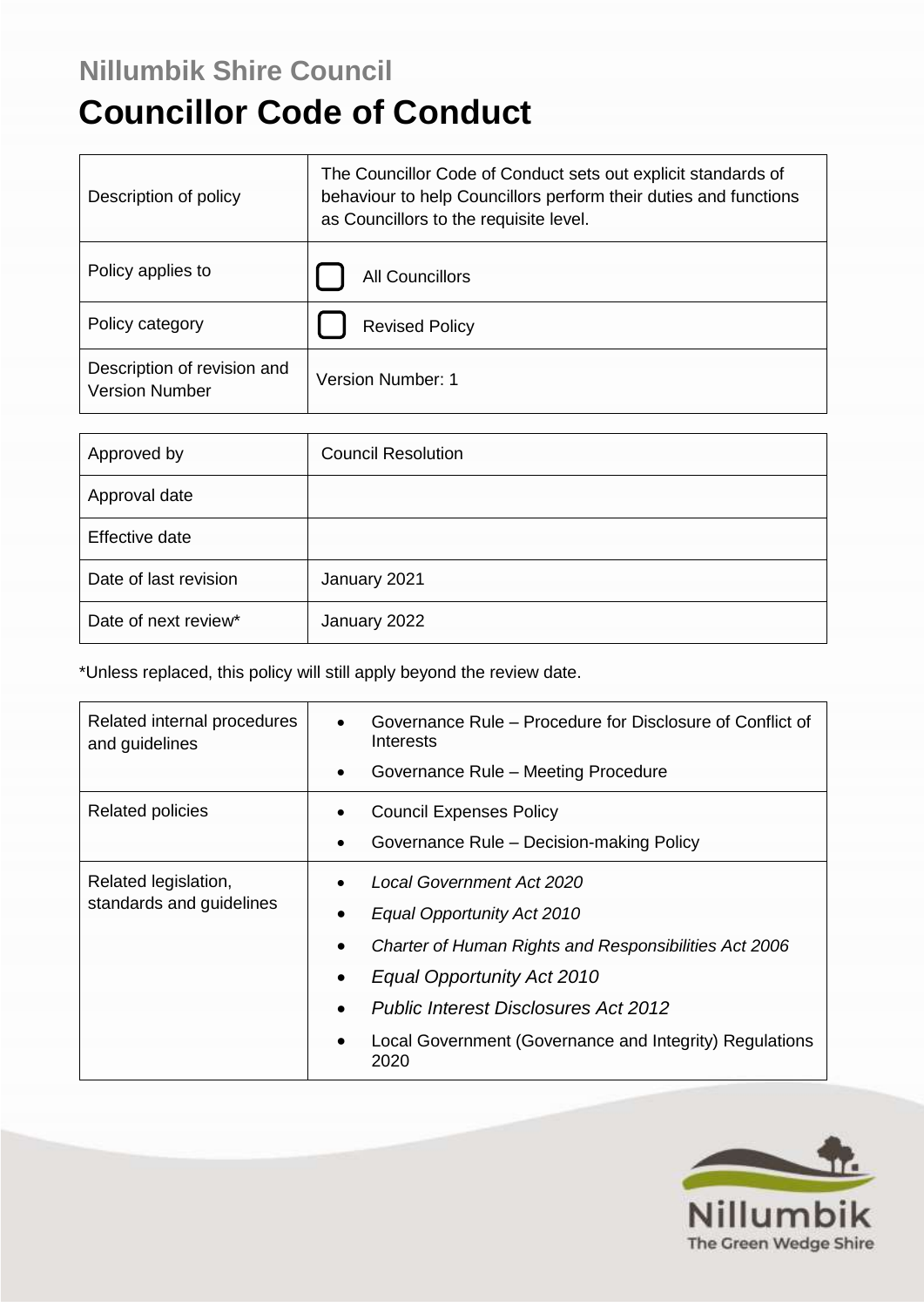# **Nillumbik Shire Council**

# **Councillor Code of Conduct**

| Description of policy                                | The Councillor Code of Conduct sets out explicit standards of<br>behaviour to help Councillors perform their duties and functions<br>as Councillors to the requisite level. |
|------------------------------------------------------|-----------------------------------------------------------------------------------------------------------------------------------------------------------------------------|
| Policy applies to                                    | <b>All Councillors</b>                                                                                                                                                      |
| Policy category                                      | <b>Revised Policy</b>                                                                                                                                                       |
| Description of revision and<br><b>Version Number</b> | Version Number: 1                                                                                                                                                           |

| Approved by           | <b>Council Resolution</b> |
|-----------------------|---------------------------|
| Approval date         |                           |
| Effective date        |                           |
| Date of last revision | January 2021              |
| Date of next review*  | January 2022              |

\*Unless replaced, this policy will still apply beyond the review date.

| Related internal procedures<br>and guidelines    | Governance Rule – Procedure for Disclosure of Conflict of<br>Interests |
|--------------------------------------------------|------------------------------------------------------------------------|
|                                                  | Governance Rule - Meeting Procedure<br>$\bullet$                       |
| <b>Related policies</b>                          | <b>Council Expenses Policy</b>                                         |
|                                                  | Governance Rule - Decision-making Policy<br>$\bullet$                  |
| Related legislation,<br>standards and guidelines | <b>Local Government Act 2020</b><br>$\bullet$                          |
|                                                  | Equal Opportunity Act 2010                                             |
|                                                  | Charter of Human Rights and Responsibilities Act 2006<br>$\bullet$     |
|                                                  | Equal Opportunity Act 2010                                             |
|                                                  | <b>Public Interest Disclosures Act 2012</b>                            |
|                                                  | Local Government (Governance and Integrity) Regulations<br>2020        |

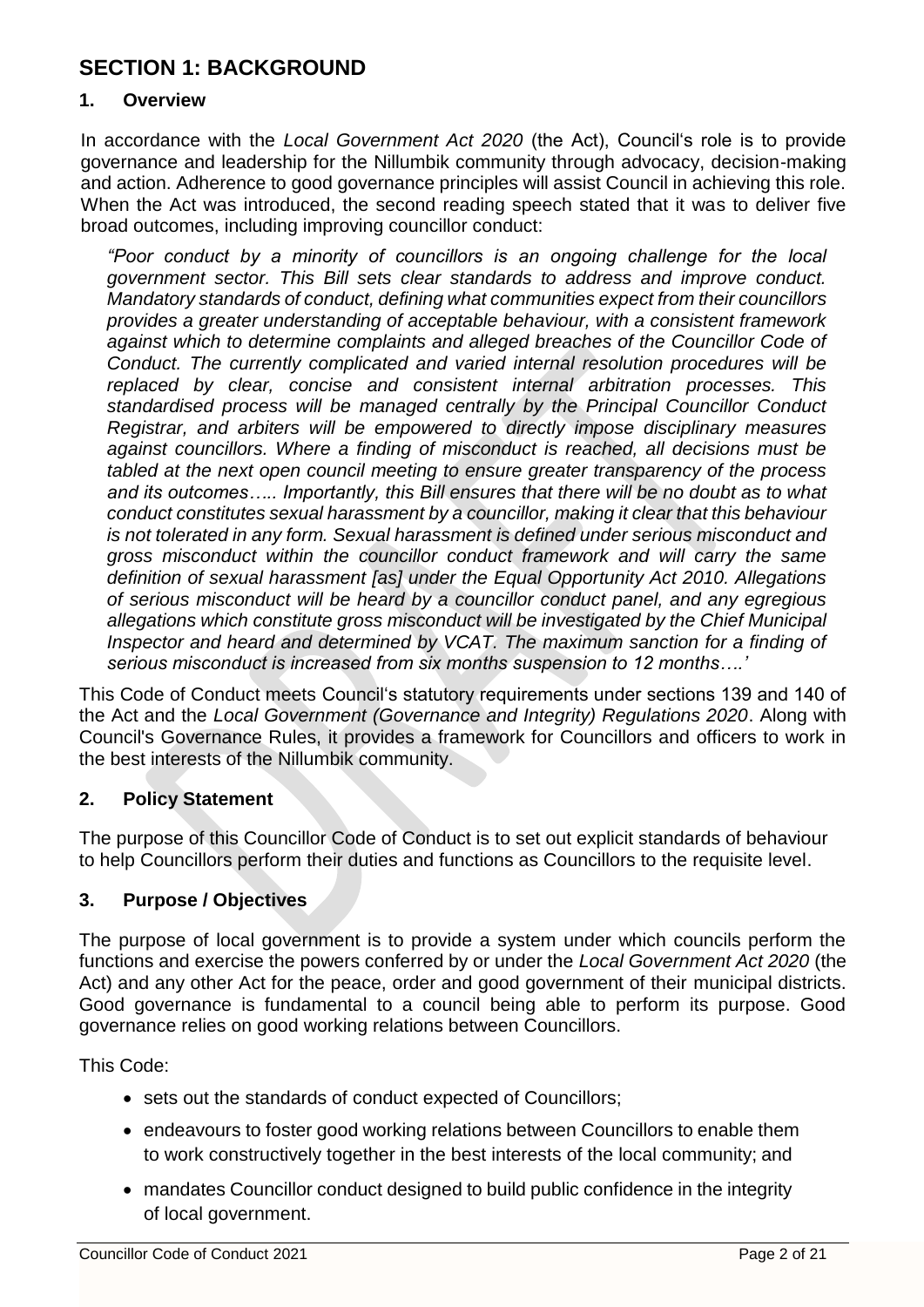# **SECTION 1: BACKGROUND**

#### **1. Overview**

In accordance with the *Local Government Act 2020* (the Act), Council's role is to provide governance and leadership for the Nillumbik community through advocacy, decision-making and action. Adherence to good governance principles will assist Council in achieving this role. When the Act was introduced, the second reading speech stated that it was to deliver five broad outcomes, including improving councillor conduct:

*"Poor conduct by a minority of councillors is an ongoing challenge for the local government sector. This Bill sets clear standards to address and improve conduct. Mandatory standards of conduct, defining what communities expect from their councillors provides a greater understanding of acceptable behaviour, with a consistent framework against which to determine complaints and alleged breaches of the Councillor Code of Conduct. The currently complicated and varied internal resolution procedures will be replaced by clear, concise and consistent internal arbitration processes. This standardised process will be managed centrally by the Principal Councillor Conduct Registrar, and arbiters will be empowered to directly impose disciplinary measures against councillors. Where a finding of misconduct is reached, all decisions must be tabled at the next open council meeting to ensure greater transparency of the process and its outcomes….. Importantly, this Bill ensures that there will be no doubt as to what conduct constitutes sexual harassment by a councillor, making it clear that this behaviour is not tolerated in any form. Sexual harassment is defined under serious misconduct and gross misconduct within the councillor conduct framework and will carry the same definition of sexual harassment [as] under the Equal Opportunity Act 2010. Allegations of serious misconduct will be heard by a councillor conduct panel, and any egregious allegations which constitute gross misconduct will be investigated by the Chief Municipal Inspector and heard and determined by VCAT. The maximum sanction for a finding of serious misconduct is increased from six months suspension to 12 months….'*

This Code of Conduct meets Council's statutory requirements under sections 139 and 140 of the Act and the *Local Government (Governance and Integrity) Regulations 2020*. Along with Council's Governance Rules, it provides a framework for Councillors and officers to work in the best interests of the Nillumbik community.

#### **2. Policy Statement**

The purpose of this Councillor Code of Conduct is to set out explicit standards of behaviour to help Councillors perform their duties and functions as Councillors to the requisite level.

#### **3. Purpose / Objectives**

The purpose of local government is to provide a system under which councils perform the functions and exercise the powers conferred by or under the *Local Government Act 2020* (the Act) and any other Act for the peace, order and good government of their municipal districts. Good governance is fundamental to a council being able to perform its purpose. Good governance relies on good working relations between Councillors.

This Code:

- sets out the standards of conduct expected of Councillors;
- endeavours to foster good working relations between Councillors to enable them to work constructively together in the best interests of the local community; and
- mandates Councillor conduct designed to build public confidence in the integrity of local government.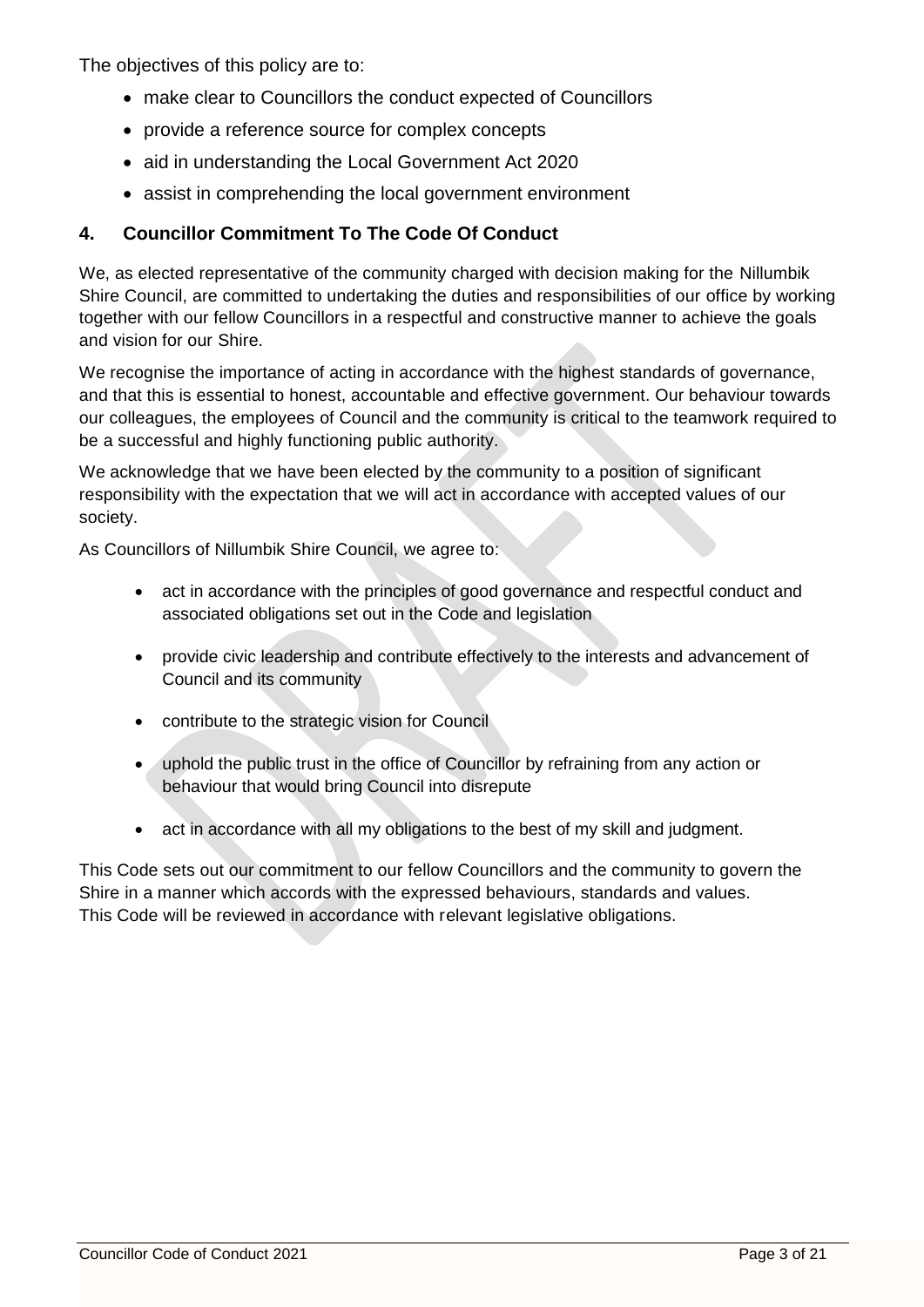The objectives of this policy are to:

- make clear to Councillors the conduct expected of Councillors
- provide a reference source for complex concepts
- aid in understanding the Local Government Act 2020
- assist in comprehending the local government environment

# **4. Councillor Commitment To The Code Of Conduct**

We, as elected representative of the community charged with decision making for the Nillumbik Shire Council, are committed to undertaking the duties and responsibilities of our office by working together with our fellow Councillors in a respectful and constructive manner to achieve the goals and vision for our Shire.

We recognise the importance of acting in accordance with the highest standards of governance, and that this is essential to honest, accountable and effective government. Our behaviour towards our colleagues, the employees of Council and the community is critical to the teamwork required to be a successful and highly functioning public authority.

We acknowledge that we have been elected by the community to a position of significant responsibility with the expectation that we will act in accordance with accepted values of our society.

As Councillors of Nillumbik Shire Council, we agree to:

- act in accordance with the principles of good governance and respectful conduct and associated obligations set out in the Code and legislation
- provide civic leadership and contribute effectively to the interests and advancement of Council and its community
- contribute to the strategic vision for Council
- uphold the public trust in the office of Councillor by refraining from any action or behaviour that would bring Council into disrepute
- act in accordance with all my obligations to the best of my skill and judgment.

This Code sets out our commitment to our fellow Councillors and the community to govern the Shire in a manner which accords with the expressed behaviours, standards and values. This Code will be reviewed in accordance with relevant legislative obligations.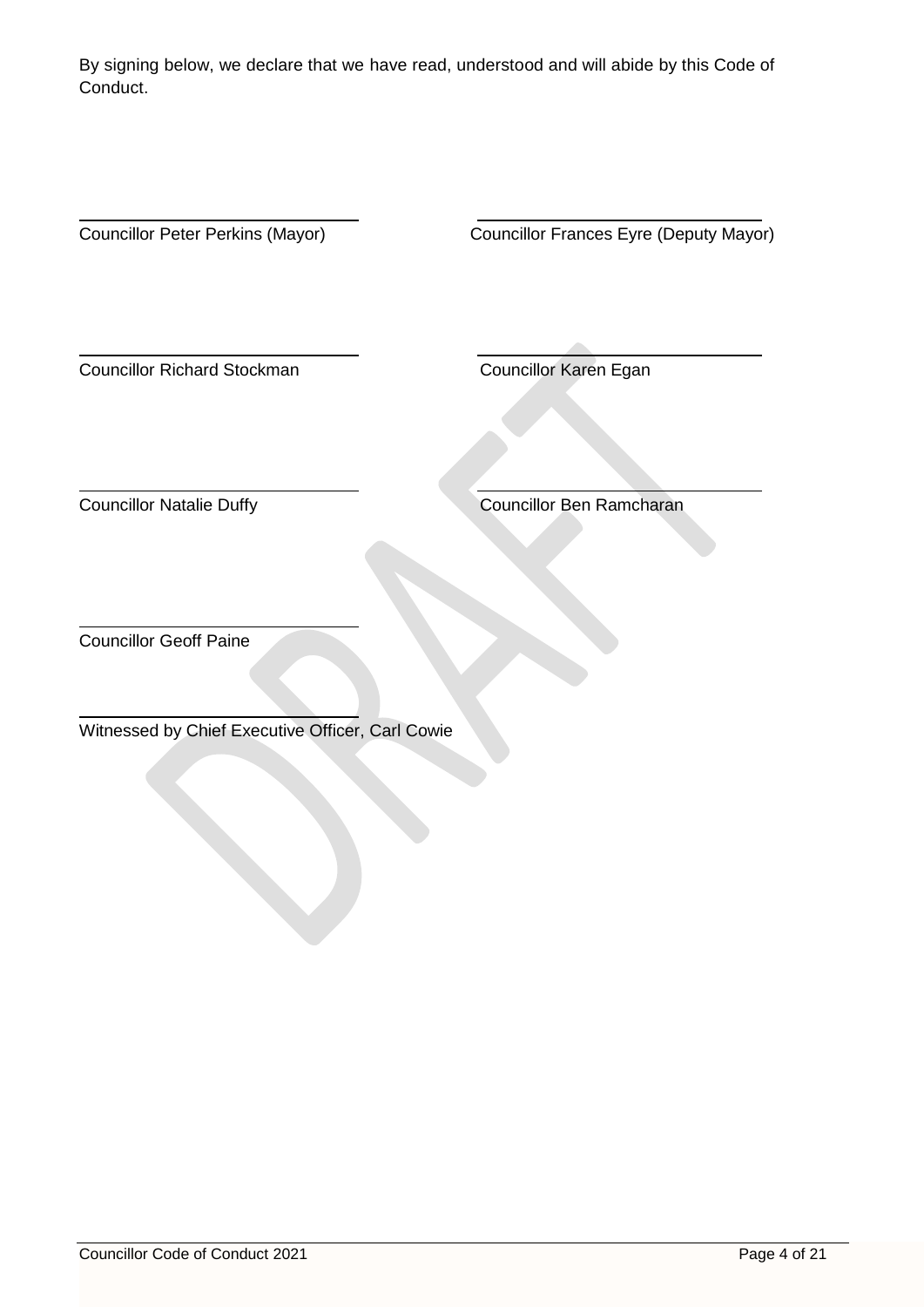By signing below, we declare that we have read, understood and will abide by this Code of Conduct.

 $\overline{a}$ 

Councillor Peter Perkins (Mayor) Councillor Frances Eyre (Deputy Mayor)

 $\overline{a}$ **Councillor Richard Stockman** Councillor Karen Egan

 $\overline{a}$ 

**Councillor Natalie Duffy** Councillor Ben Ramcharan

Councillor Geoff Paine

 $\overline{a}$ 

 $\overline{a}$ 

Witnessed by Chief Executive Officer, Carl Cowie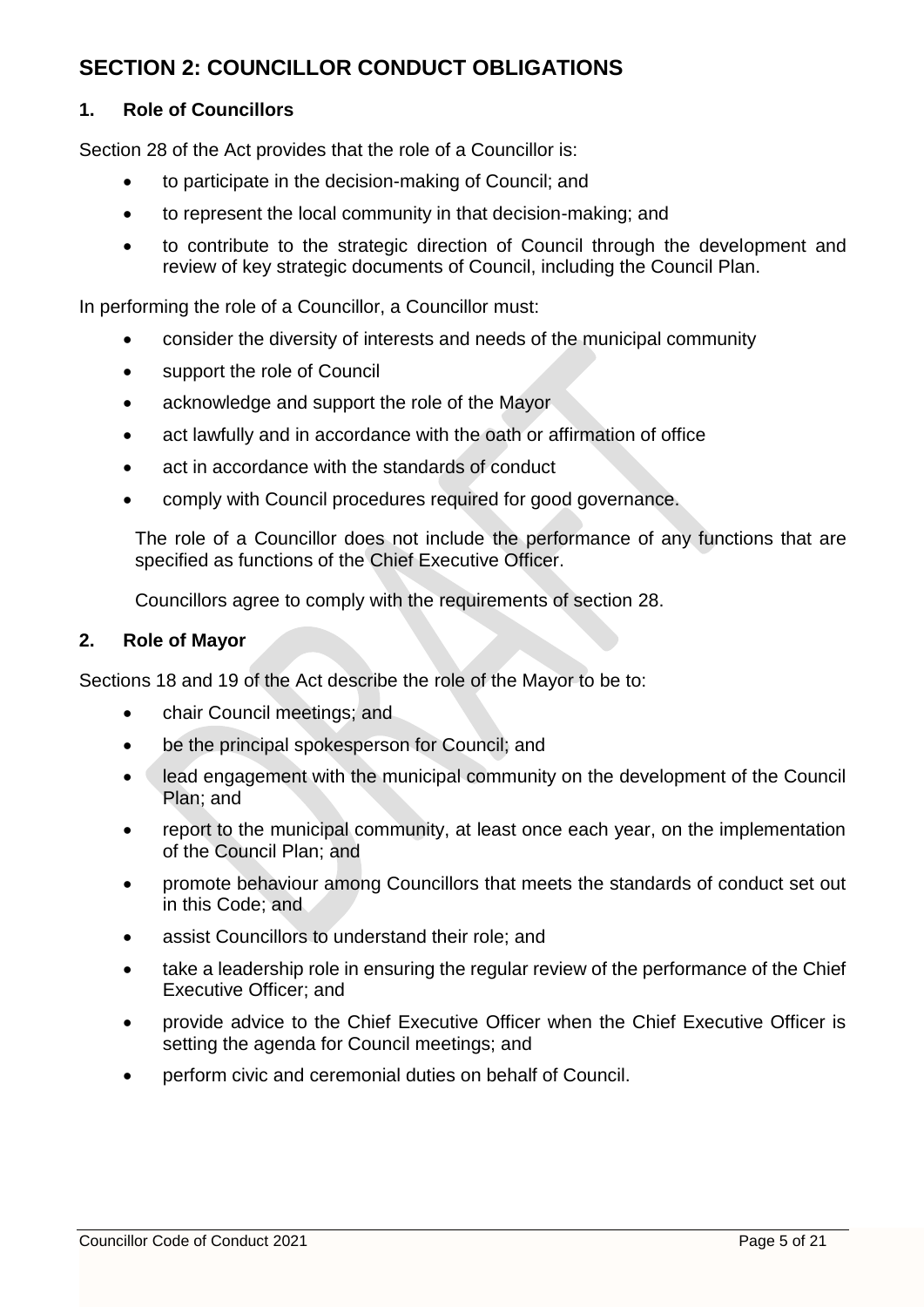# **SECTION 2: COUNCILLOR CONDUCT OBLIGATIONS**

#### **1. Role of Councillors**

Section 28 of the Act provides that the role of a Councillor is:

- to participate in the decision-making of Council; and
- to represent the local community in that decision-making; and
- to contribute to the strategic direction of Council through the development and review of key strategic documents of Council, including the Council Plan.

In performing the role of a Councillor, a Councillor must:

- consider the diversity of interests and needs of the municipal community
- support the role of Council
- acknowledge and support the role of the Mayor
- act lawfully and in accordance with the oath or affirmation of office
- act in accordance with the standards of conduct
- comply with Council procedures required for good governance.

The role of a Councillor does not include the performance of any functions that are specified as functions of the Chief Executive Officer.

Councillors agree to comply with the requirements of section 28.

#### **2. Role of Mayor**

Sections 18 and 19 of the Act describe the role of the Mayor to be to:

- chair Council meetings; and
- be the principal spokesperson for Council; and
- lead engagement with the municipal community on the development of the Council Plan; and
- report to the municipal community, at least once each year, on the implementation of the Council Plan; and
- promote behaviour among Councillors that meets the standards of conduct set out in this Code; and
- assist Councillors to understand their role; and
- take a leadership role in ensuring the regular review of the performance of the Chief Executive Officer; and
- provide advice to the Chief Executive Officer when the Chief Executive Officer is setting the agenda for Council meetings; and
- perform civic and ceremonial duties on behalf of Council.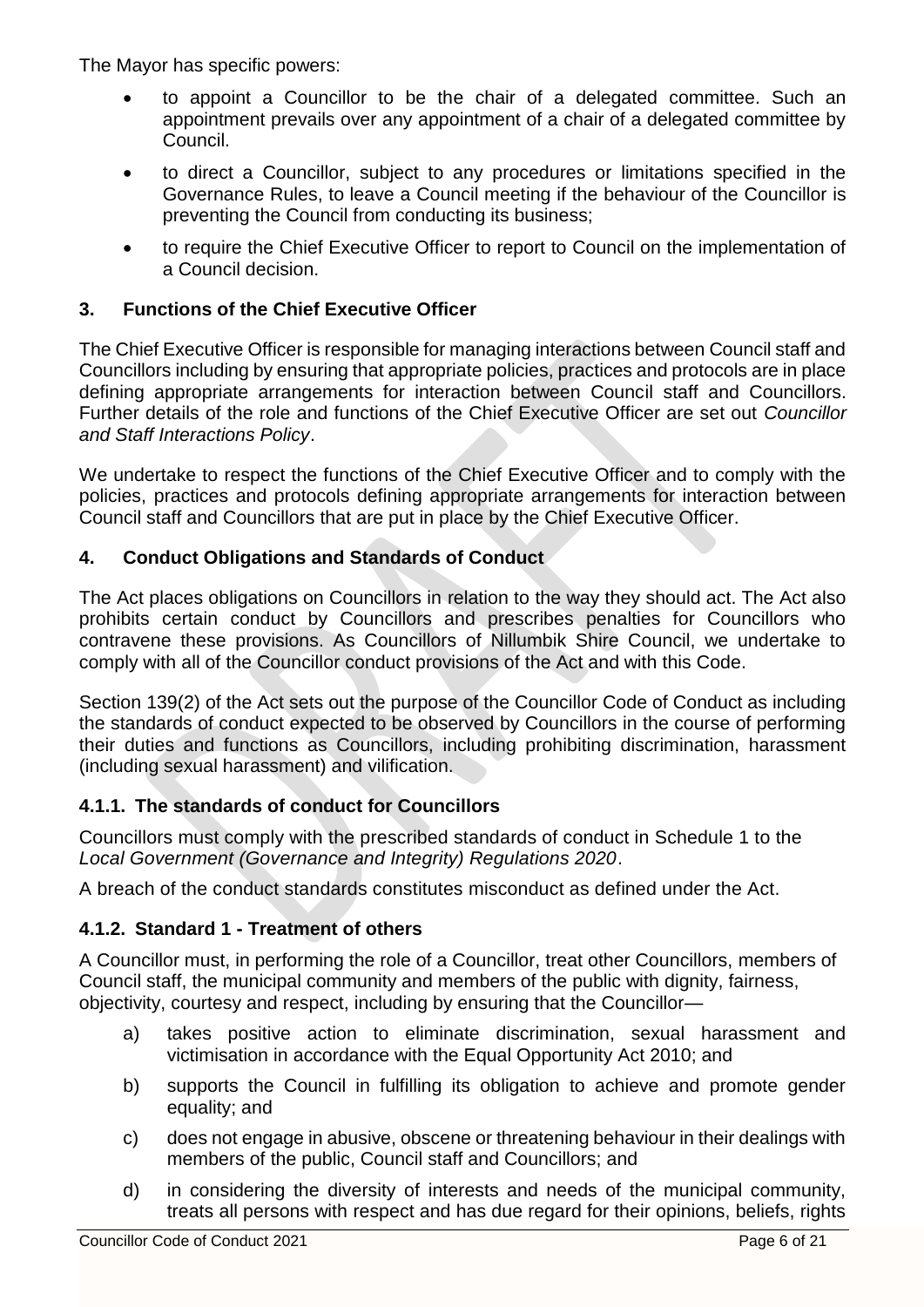The Mayor has specific powers:

- to appoint a Councillor to be the chair of a delegated committee. Such an appointment prevails over any appointment of a chair of a delegated committee by Council.
- to direct a Councillor, subject to any procedures or limitations specified in the Governance Rules, to leave a Council meeting if the behaviour of the Councillor is preventing the Council from conducting its business;
- to require the Chief Executive Officer to report to Council on the implementation of a Council decision.

## **3. Functions of the Chief Executive Officer**

The Chief Executive Officer is responsible for managing interactions between Council staff and Councillors including by ensuring that appropriate policies, practices and protocols are in place defining appropriate arrangements for interaction between Council staff and Councillors. Further details of the role and functions of the Chief Executive Officer are set out *Councillor and Staff Interactions Policy*.

We undertake to respect the functions of the Chief Executive Officer and to comply with the policies, practices and protocols defining appropriate arrangements for interaction between Council staff and Councillors that are put in place by the Chief Executive Officer.

#### **4. Conduct Obligations and Standards of Conduct**

The Act places obligations on Councillors in relation to the way they should act. The Act also prohibits certain conduct by Councillors and prescribes penalties for Councillors who contravene these provisions. As Councillors of Nillumbik Shire Council, we undertake to comply with all of the Councillor conduct provisions of the Act and with this Code.

Section 139(2) of the Act sets out the purpose of the Councillor Code of Conduct as including the standards of conduct expected to be observed by Councillors in the course of performing their duties and functions as Councillors, including prohibiting discrimination, harassment (including sexual harassment) and vilification.

#### **4.1.1. The standards of conduct for Councillors**

Councillors must comply with the prescribed standards of conduct in Schedule 1 to the *Local Government (Governance and Integrity) Regulations 2020*.

A breach of the conduct standards constitutes misconduct as defined under the Act.

#### **4.1.2. Standard 1 - Treatment of others**

A Councillor must, in performing the role of a Councillor, treat other Councillors, members of Council staff, the municipal community and members of the public with dignity, fairness, objectivity, courtesy and respect, including by ensuring that the Councillor—

- a) takes positive action to eliminate discrimination, sexual harassment and victimisation in accordance with the Equal Opportunity Act 2010; and
- b) supports the Council in fulfilling its obligation to achieve and promote gender equality; and
- c) does not engage in abusive, obscene or threatening behaviour in their dealings with members of the public, Council staff and Councillors; and
- d) in considering the diversity of interests and needs of the municipal community, treats all persons with respect and has due regard for their opinions, beliefs, rights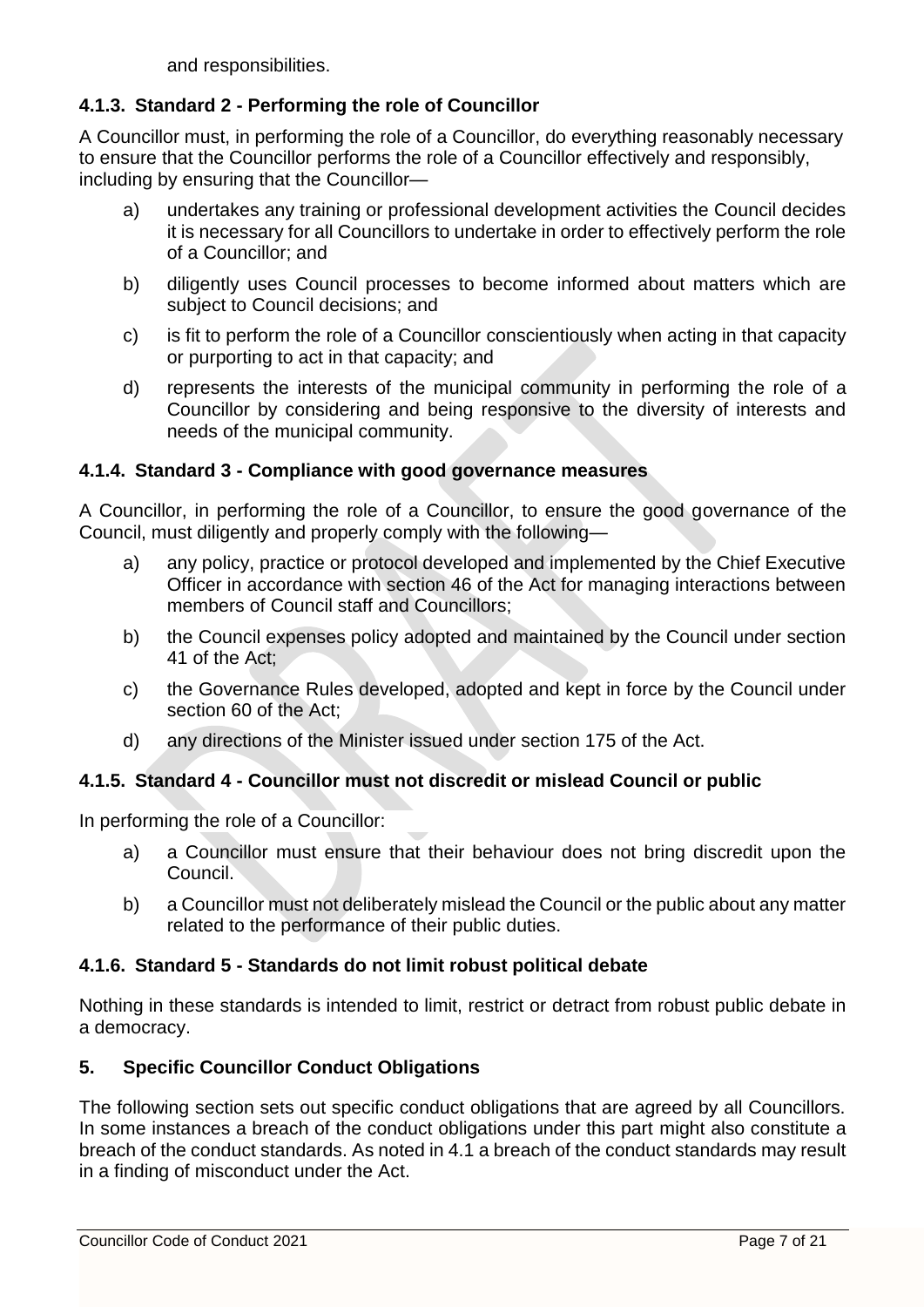and responsibilities.

## **4.1.3. Standard 2 - Performing the role of Councillor**

A Councillor must, in performing the role of a Councillor, do everything reasonably necessary to ensure that the Councillor performs the role of a Councillor effectively and responsibly, including by ensuring that the Councillor—

- a) undertakes any training or professional development activities the Council decides it is necessary for all Councillors to undertake in order to effectively perform the role of a Councillor; and
- b) diligently uses Council processes to become informed about matters which are subject to Council decisions; and
- c) is fit to perform the role of a Councillor conscientiously when acting in that capacity or purporting to act in that capacity; and
- d) represents the interests of the municipal community in performing the role of a Councillor by considering and being responsive to the diversity of interests and needs of the municipal community.

#### **4.1.4. Standard 3 - Compliance with good governance measures**

A Councillor, in performing the role of a Councillor, to ensure the good governance of the Council, must diligently and properly comply with the following—

- a) any policy, practice or protocol developed and implemented by the Chief Executive Officer in accordance with section 46 of the Act for managing interactions between members of Council staff and Councillors;
- b) the Council expenses policy adopted and maintained by the Council under section 41 of the Act;
- c) the Governance Rules developed, adopted and kept in force by the Council under section 60 of the Act;
- d) any directions of the Minister issued under section 175 of the Act.

# **4.1.5. Standard 4 - Councillor must not discredit or mislead Council or public**

In performing the role of a Councillor:

- a) a Councillor must ensure that their behaviour does not bring discredit upon the Council.
- b) a Councillor must not deliberately mislead the Council or the public about any matter related to the performance of their public duties.

#### **4.1.6. Standard 5 - Standards do not limit robust political debate**

Nothing in these standards is intended to limit, restrict or detract from robust public debate in a democracy.

#### **5. Specific Councillor Conduct Obligations**

The following section sets out specific conduct obligations that are agreed by all Councillors. In some instances a breach of the conduct obligations under this part might also constitute a breach of the conduct standards. As noted in 4.1 a breach of the conduct standards may result in a finding of misconduct under the Act.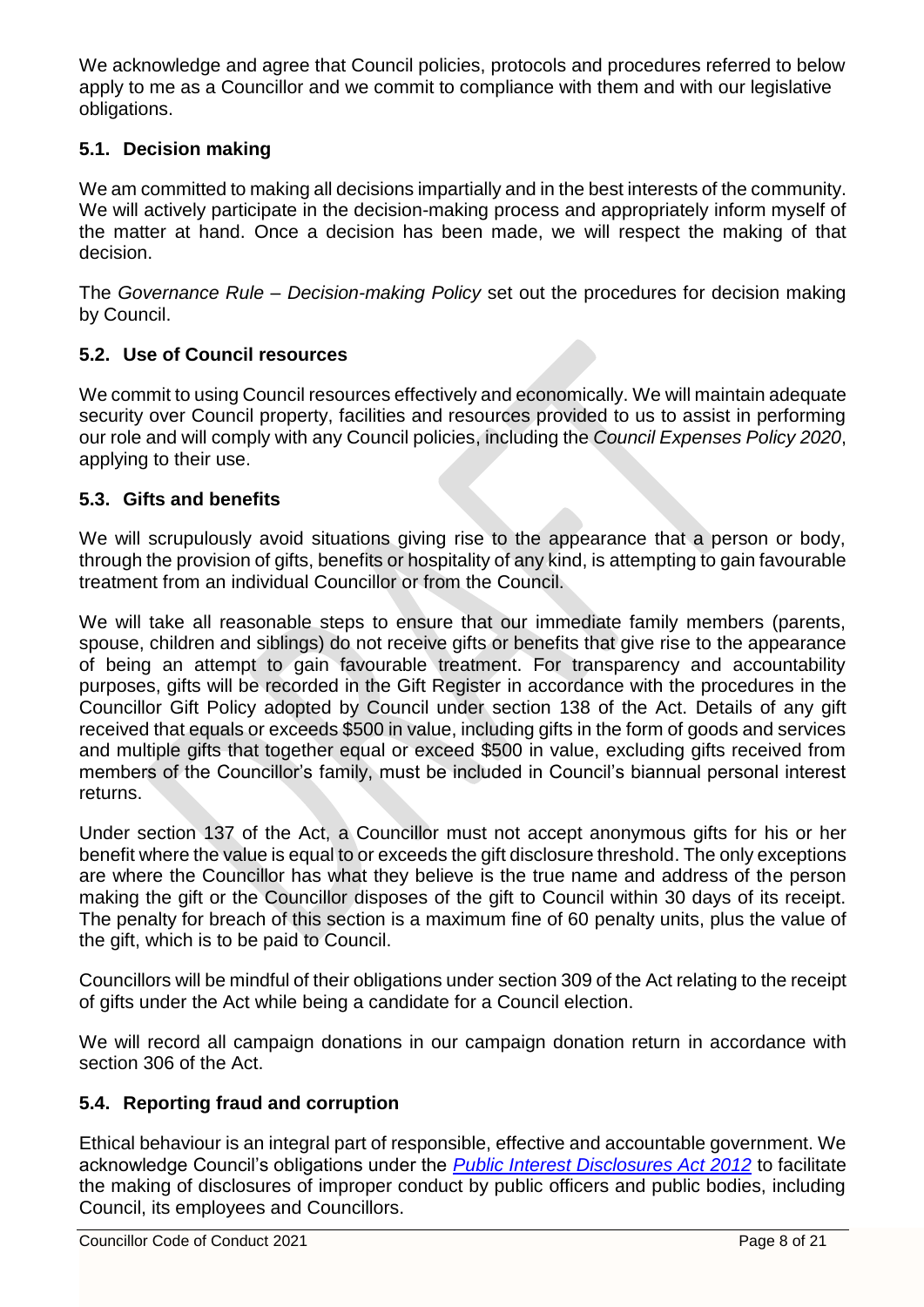We acknowledge and agree that Council policies, protocols and procedures referred to below apply to me as a Councillor and we commit to compliance with them and with our legislative obligations.

## **5.1. Decision making**

We am committed to making all decisions impartially and in the best interests of the community. We will actively participate in the decision-making process and appropriately inform myself of the matter at hand. Once a decision has been made, we will respect the making of that decision.

The *Governance Rule – Decision-making Policy* set out the procedures for decision making by Council.

#### **5.2. Use of Council resources**

We commit to using Council resources effectively and economically. We will maintain adequate security over Council property, facilities and resources provided to us to assist in performing our role and will comply with any Council policies, including the *Council Expenses Policy 2020*, applying to their use.

#### **5.3. Gifts and benefits**

We will scrupulously avoid situations giving rise to the appearance that a person or body, through the provision of gifts, benefits or hospitality of any kind, is attempting to gain favourable treatment from an individual Councillor or from the Council.

We will take all reasonable steps to ensure that our immediate family members (parents, spouse, children and siblings) do not receive gifts or benefits that give rise to the appearance of being an attempt to gain favourable treatment. For transparency and accountability purposes, gifts will be recorded in the Gift Register in accordance with the procedures in the Councillor Gift Policy adopted by Council under section 138 of the Act. Details of any gift received that equals or exceeds \$500 in value, including gifts in the form of goods and services and multiple gifts that together equal or exceed \$500 in value, excluding gifts received from members of the Councillor's family, must be included in Council's biannual personal interest returns.

Under section 137 of the Act, a Councillor must not accept anonymous gifts for his or her benefit where the value is equal to or exceeds the gift disclosure threshold. The only exceptions are where the Councillor has what they believe is the true name and address of the person making the gift or the Councillor disposes of the gift to Council within 30 days of its receipt. The penalty for breach of this section is a maximum fine of 60 penalty units, plus the value of the gift, which is to be paid to Council.

Councillors will be mindful of their obligations under section 309 of the Act relating to the receipt of gifts under the Act while being a candidate for a Council election.

We will record all campaign donations in our campaign donation return in accordance with section 306 of the Act.

#### **5.4. Reporting fraud and corruption**

Ethical behaviour is an integral part of responsible, effective and accountable government. We acknowledge Council's obligations under the *[Public Interest Disclosures Act 2012](http://www.legislation.vic.gov.au/domino/Web_Notes/LDMS/LTObject_Store/ltobjst10.nsf/DDE300B846EED9C7CA257616000A3571/C926B1DC972C02E1CA25818C0080C898/$FILE/12-85aa020%20authorised.pdf)* to facilitate the making of disclosures of improper conduct by public officers and public bodies, including Council, its employees and Councillors.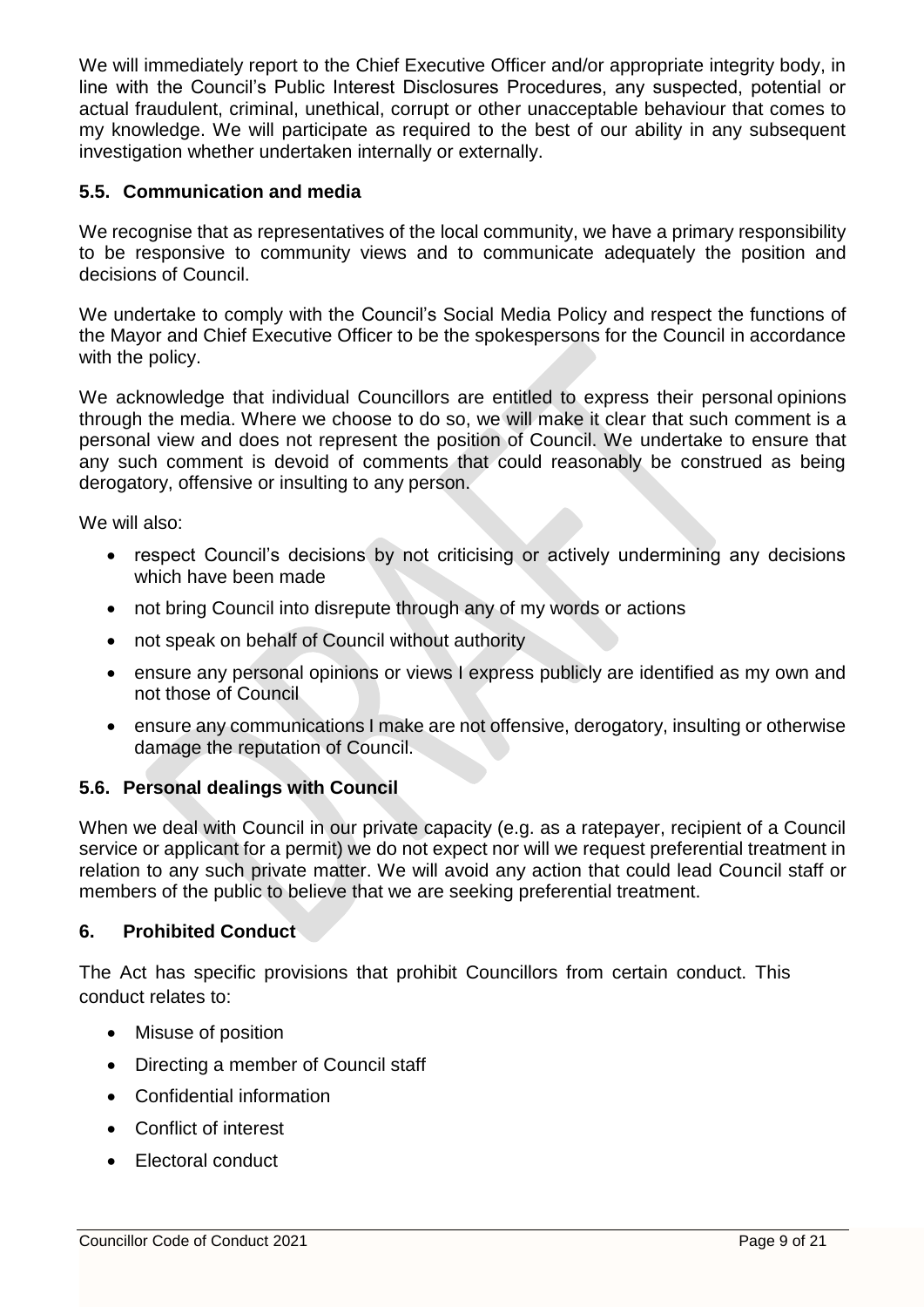We will immediately report to the Chief Executive Officer and/or appropriate integrity body, in line with the Council's Public Interest Disclosures Procedures, any suspected, potential or actual fraudulent, criminal, unethical, corrupt or other unacceptable behaviour that comes to my knowledge. We will participate as required to the best of our ability in any subsequent investigation whether undertaken internally or externally.

## **5.5. Communication and media**

We recognise that as representatives of the local community, we have a primary responsibility to be responsive to community views and to communicate adequately the position and decisions of Council.

We undertake to comply with the Council's Social Media Policy and respect the functions of the Mayor and Chief Executive Officer to be the spokespersons for the Council in accordance with the policy.

We acknowledge that individual Councillors are entitled to express their personal opinions through the media. Where we choose to do so, we will make it clear that such comment is a personal view and does not represent the position of Council. We undertake to ensure that any such comment is devoid of comments that could reasonably be construed as being derogatory, offensive or insulting to any person.

We will also:

- respect Council's decisions by not criticising or actively undermining any decisions which have been made
- not bring Council into disrepute through any of my words or actions
- not speak on behalf of Council without authority
- ensure any personal opinions or views I express publicly are identified as my own and not those of Council
- ensure any communications I make are not offensive, derogatory, insulting or otherwise damage the reputation of Council.

#### **5.6. Personal dealings with Council**

When we deal with Council in our private capacity (e.g. as a ratepayer, recipient of a Council service or applicant for a permit) we do not expect nor will we request preferential treatment in relation to any such private matter. We will avoid any action that could lead Council staff or members of the public to believe that we are seeking preferential treatment.

#### **6. Prohibited Conduct**

The Act has specific provisions that prohibit Councillors from certain conduct. This conduct relates to:

- Misuse of position
- Directing a member of Council staff
- Confidential information
- Conflict of interest
- Electoral conduct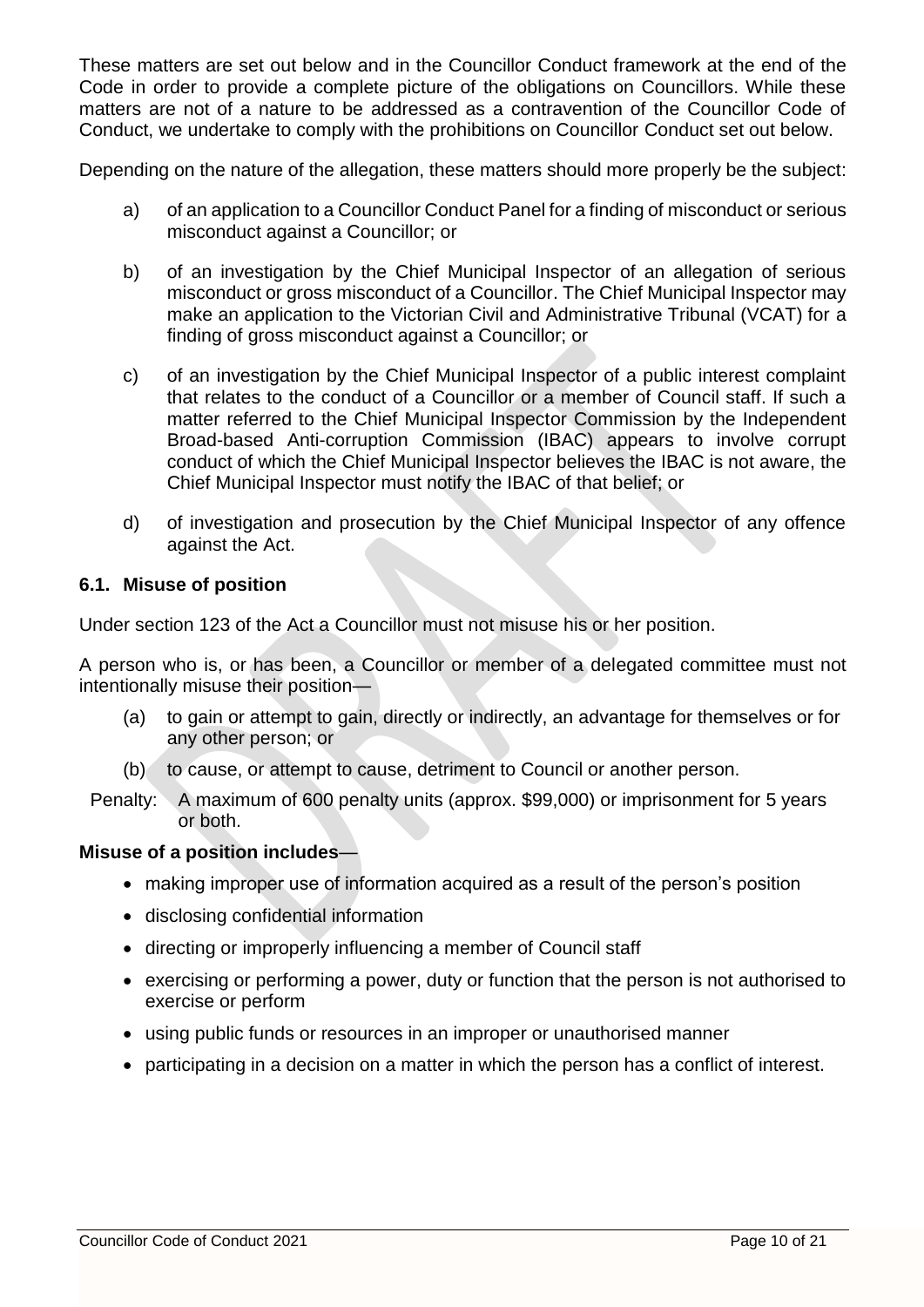These matters are set out below and in the Councillor Conduct framework at the end of the Code in order to provide a complete picture of the obligations on Councillors. While these matters are not of a nature to be addressed as a contravention of the Councillor Code of Conduct, we undertake to comply with the prohibitions on Councillor Conduct set out below.

Depending on the nature of the allegation, these matters should more properly be the subject:

- a) of an application to a Councillor Conduct Panel for a finding of misconduct or serious misconduct against a Councillor; or
- b) of an investigation by the Chief Municipal Inspector of an allegation of serious misconduct or gross misconduct of a Councillor. The Chief Municipal Inspector may make an application to the Victorian Civil and Administrative Tribunal (VCAT) for a finding of gross misconduct against a Councillor; or
- c) of an investigation by the Chief Municipal Inspector of a public interest complaint that relates to the conduct of a Councillor or a member of Council staff. If such a matter referred to the Chief Municipal Inspector Commission by the Independent Broad-based Anti-corruption Commission (IBAC) appears to involve corrupt conduct of which the Chief Municipal Inspector believes the IBAC is not aware, the Chief Municipal Inspector must notify the IBAC of that belief; or
- d) of investigation and prosecution by the Chief Municipal Inspector of any offence against the Act.

#### **6.1. Misuse of position**

Under section 123 of the Act a Councillor must not misuse his or her position.

A person who is, or has been, a Councillor or member of a delegated committee must not intentionally misuse their position—

- (a) to gain or attempt to gain, directly or indirectly, an advantage for themselves or for any other person; or
- (b) to cause, or attempt to cause, detriment to Council or another person.
- Penalty: A maximum of 600 penalty units (approx. \$99,000) or imprisonment for 5 years or both.

#### **Misuse of a position includes**—

- making improper use of information acquired as a result of the person's position
- disclosing confidential information
- directing or improperly influencing a member of Council staff
- exercising or performing a power, duty or function that the person is not authorised to exercise or perform
- using public funds or resources in an improper or unauthorised manner
- participating in a decision on a matter in which the person has a conflict of interest.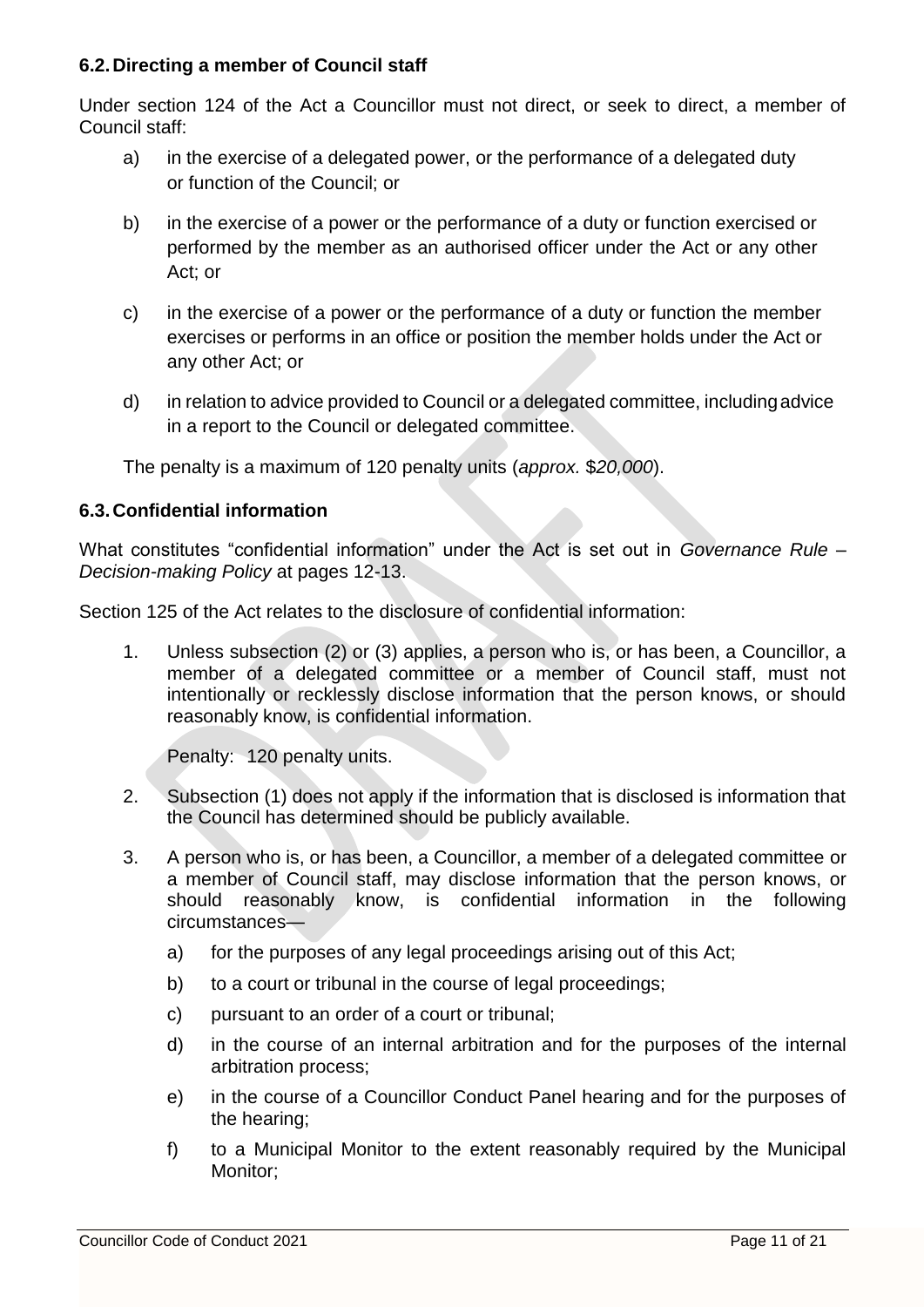#### **6.2.Directing a member of Council staff**

Under section 124 of the Act a Councillor must not direct, or seek to direct, a member of Council staff:

- a) in the exercise of a delegated power, or the performance of a delegated duty or function of the Council; or
- b) in the exercise of a power or the performance of a duty or function exercised or performed by the member as an authorised officer under the Act or any other Act; or
- c) in the exercise of a power or the performance of a duty or function the member exercises or performs in an office or position the member holds under the Act or any other Act; or
- d) in relation to advice provided to Council or a delegated committee, includingadvice in a report to the Council or delegated committee.

The penalty is a maximum of 120 penalty units (*approx.* \$*20,000*).

## **6.3.Confidential information**

What constitutes "confidential information" under the Act is set out in *Governance Rule – Decision-making Policy* at pages 12-13.

Section 125 of the Act relates to the disclosure of confidential information:

1. Unless subsection (2) or (3) applies, a person who is, or has been, a Councillor, a member of a delegated committee or a member of Council staff, must not intentionally or recklessly disclose information that the person knows, or should reasonably know, is confidential information.

Penalty: 120 penalty units.

- 2. Subsection (1) does not apply if the information that is disclosed is information that the Council has determined should be publicly available.
- 3. A person who is, or has been, a Councillor, a member of a delegated committee or a member of Council staff, may disclose information that the person knows, or should reasonably know, is confidential information in the following circumstances
	- a) for the purposes of any legal proceedings arising out of this Act;
	- b) to a court or tribunal in the course of legal proceedings;
	- c) pursuant to an order of a court or tribunal;
	- d) in the course of an internal arbitration and for the purposes of the internal arbitration process;
	- e) in the course of a Councillor Conduct Panel hearing and for the purposes of the hearing;
	- f) to a Municipal Monitor to the extent reasonably required by the Municipal Monitor;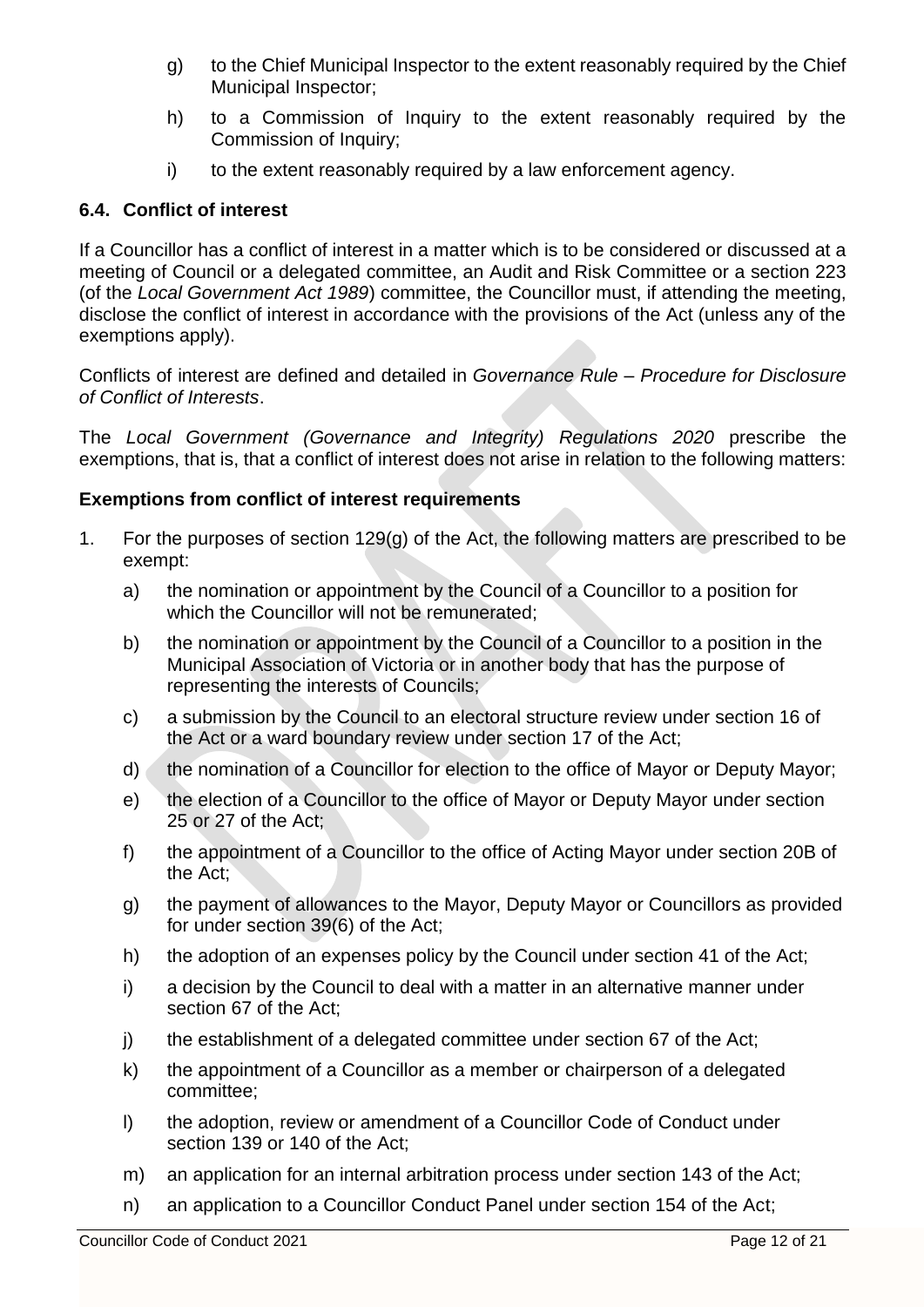- g) to the Chief Municipal Inspector to the extent reasonably required by the Chief Municipal Inspector;
- h) to a Commission of Inquiry to the extent reasonably required by the Commission of Inquiry;
- i) to the extent reasonably required by a law enforcement agency.

## **6.4. Conflict of interest**

If a Councillor has a conflict of interest in a matter which is to be considered or discussed at a meeting of Council or a delegated committee, an Audit and Risk Committee or a section 223 (of the *Local Government Act 1989*) committee, the Councillor must, if attending the meeting, disclose the conflict of interest in accordance with the provisions of the Act (unless any of the exemptions apply).

Conflicts of interest are defined and detailed in *Governance Rule – Procedure for Disclosure of Conflict of Interests*.

The *Local Government (Governance and Integrity) Regulations 2020* prescribe the exemptions, that is, that a conflict of interest does not arise in relation to the following matters:

#### **Exemptions from conflict of interest requirements**

- 1. For the purposes of section 129(g) of the Act, the following matters are prescribed to be exempt:
	- a) the nomination or appointment by the Council of a Councillor to a position for which the Councillor will not be remunerated;
	- b) the nomination or appointment by the Council of a Councillor to a position in the Municipal Association of Victoria or in another body that has the purpose of representing the interests of Councils;
	- c) a submission by the Council to an electoral structure review under section 16 of the Act or a ward boundary review under section 17 of the Act;
	- d) the nomination of a Councillor for election to the office of Mayor or Deputy Mayor;
	- e) the election of a Councillor to the office of Mayor or Deputy Mayor under section 25 or 27 of the Act;
	- f) the appointment of a Councillor to the office of Acting Mayor under section 20B of the Act;
	- g) the payment of allowances to the Mayor, Deputy Mayor or Councillors as provided for under section 39(6) of the Act;
	- h) the adoption of an expenses policy by the Council under section 41 of the Act;
	- i) a decision by the Council to deal with a matter in an alternative manner under section 67 of the Act;
	- j) the establishment of a delegated committee under section 67 of the Act;
	- k) the appointment of a Councillor as a member or chairperson of a delegated committee;
	- l) the adoption, review or amendment of a Councillor Code of Conduct under section 139 or 140 of the Act;
	- m) an application for an internal arbitration process under section 143 of the Act;
	- n) an application to a Councillor Conduct Panel under section 154 of the Act;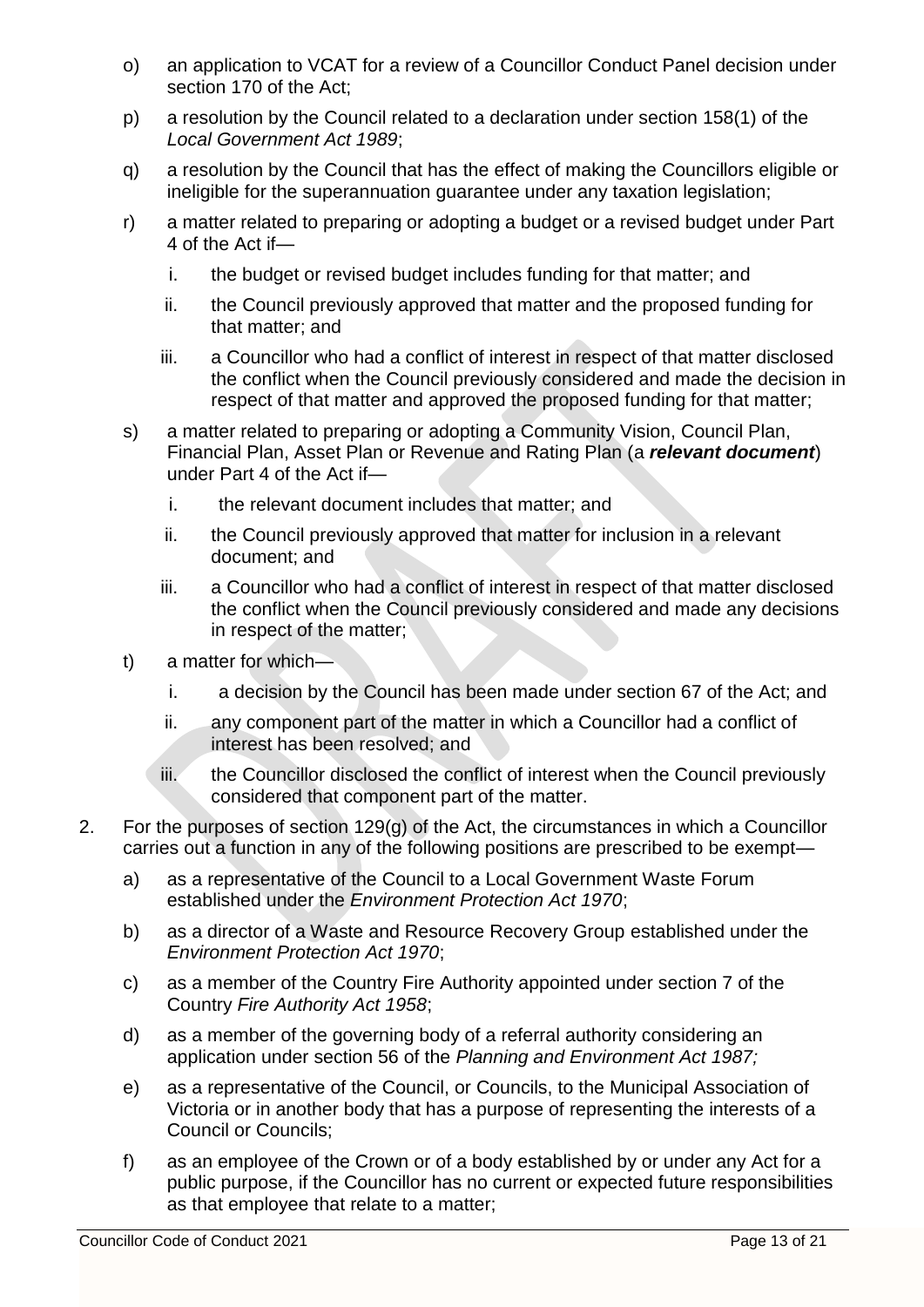- o) an application to VCAT for a review of a Councillor Conduct Panel decision under section 170 of the Act;
- p) a resolution by the Council related to a declaration under section 158(1) of the *Local Government Act 1989*;
- q) a resolution by the Council that has the effect of making the Councillors eligible or ineligible for the superannuation guarantee under any taxation legislation;
- r) a matter related to preparing or adopting a budget or a revised budget under Part 4 of the Act if
	- i. the budget or revised budget includes funding for that matter; and
	- ii. the Council previously approved that matter and the proposed funding for that matter; and
	- iii. a Councillor who had a conflict of interest in respect of that matter disclosed the conflict when the Council previously considered and made the decision in respect of that matter and approved the proposed funding for that matter;
- s) a matter related to preparing or adopting a Community Vision, Council Plan, Financial Plan, Asset Plan or Revenue and Rating Plan (a *relevant document*) under Part 4 of the Act if
	- i. the relevant document includes that matter; and
	- ii. the Council previously approved that matter for inclusion in a relevant document; and
	- iii. a Councillor who had a conflict of interest in respect of that matter disclosed the conflict when the Council previously considered and made any decisions in respect of the matter;
- t) a matter for which
	- i. a decision by the Council has been made under section 67 of the Act; and
	- ii. any component part of the matter in which a Councillor had a conflict of interest has been resolved; and
	- iii. the Councillor disclosed the conflict of interest when the Council previously considered that component part of the matter.
- 2. For the purposes of section 129(g) of the Act, the circumstances in which a Councillor carries out a function in any of the following positions are prescribed to be exempt
	- a) as a representative of the Council to a Local Government Waste Forum established under the *Environment Protection Act 1970*;
	- b) as a director of a Waste and Resource Recovery Group established under the *Environment Protection Act 1970*;
	- c) as a member of the Country Fire Authority appointed under section 7 of the Country *Fire Authority Act 1958*;
	- d) as a member of the governing body of a referral authority considering an application under section 56 of the *Planning and Environment Act 1987;*
	- e) as a representative of the Council, or Councils, to the Municipal Association of Victoria or in another body that has a purpose of representing the interests of a Council or Councils;
	- f) as an employee of the Crown or of a body established by or under any Act for a public purpose, if the Councillor has no current or expected future responsibilities as that employee that relate to a matter;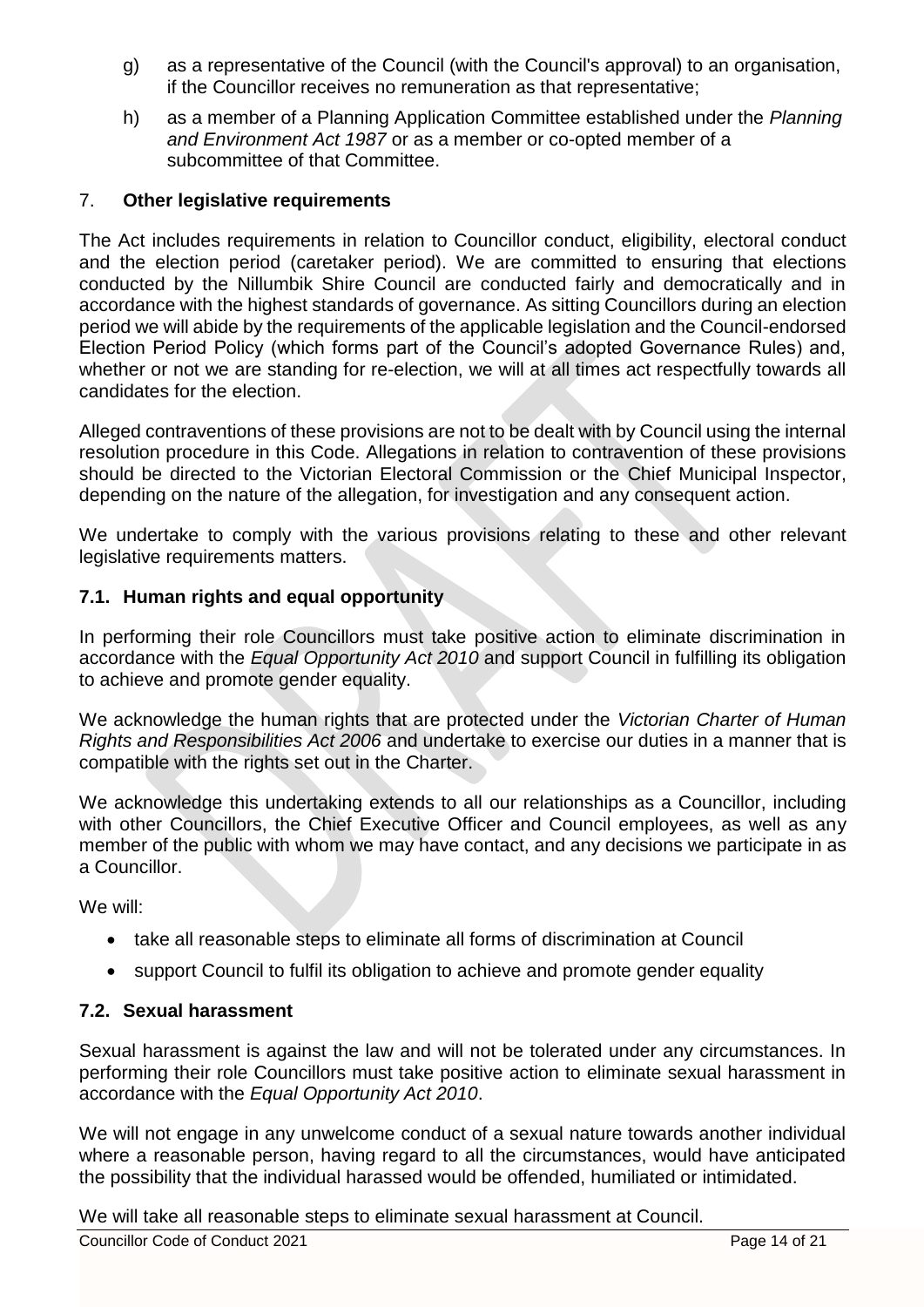- g) as a representative of the Council (with the Council's approval) to an organisation, if the Councillor receives no remuneration as that representative;
- h) as a member of a Planning Application Committee established under the *Planning and Environment Act 1987* or as a member or co-opted member of a subcommittee of that Committee.

#### 7. **Other legislative requirements**

The Act includes requirements in relation to Councillor conduct, eligibility, electoral conduct and the election period (caretaker period). We are committed to ensuring that elections conducted by the Nillumbik Shire Council are conducted fairly and democratically and in accordance with the highest standards of governance. As sitting Councillors during an election period we will abide by the requirements of the applicable legislation and the Council-endorsed Election Period Policy (which forms part of the Council's adopted Governance Rules) and, whether or not we are standing for re-election, we will at all times act respectfully towards all candidates for the election.

Alleged contraventions of these provisions are not to be dealt with by Council using the internal resolution procedure in this Code. Allegations in relation to contravention of these provisions should be directed to the Victorian Electoral Commission or the Chief Municipal Inspector, depending on the nature of the allegation, for investigation and any consequent action.

We undertake to comply with the various provisions relating to these and other relevant legislative requirements matters.

#### **7.1. Human rights and equal opportunity**

In performing their role Councillors must take positive action to eliminate discrimination in accordance with the *Equal Opportunity Act 2010* and support Council in fulfilling its obligation to achieve and promote gender equality.

We acknowledge the human rights that are protected under the *Victorian Charter of Human Rights and Responsibilities Act 2006* and undertake to exercise our duties in a manner that is compatible with the rights set out in the Charter.

We acknowledge this undertaking extends to all our relationships as a Councillor, including with other Councillors, the Chief Executive Officer and Council employees, as well as any member of the public with whom we may have contact, and any decisions we participate in as a Councillor.

We will:

- take all reasonable steps to eliminate all forms of discrimination at Council
- support Council to fulfil its obligation to achieve and promote gender equality

#### **7.2. Sexual harassment**

Sexual harassment is against the law and will not be tolerated under any circumstances. In performing their role Councillors must take positive action to eliminate sexual harassment in accordance with the *Equal Opportunity Act 2010*.

We will not engage in any unwelcome conduct of a sexual nature towards another individual where a reasonable person, having regard to all the circumstances, would have anticipated the possibility that the individual harassed would be offended, humiliated or intimidated.

We will take all reasonable steps to eliminate sexual harassment at Council.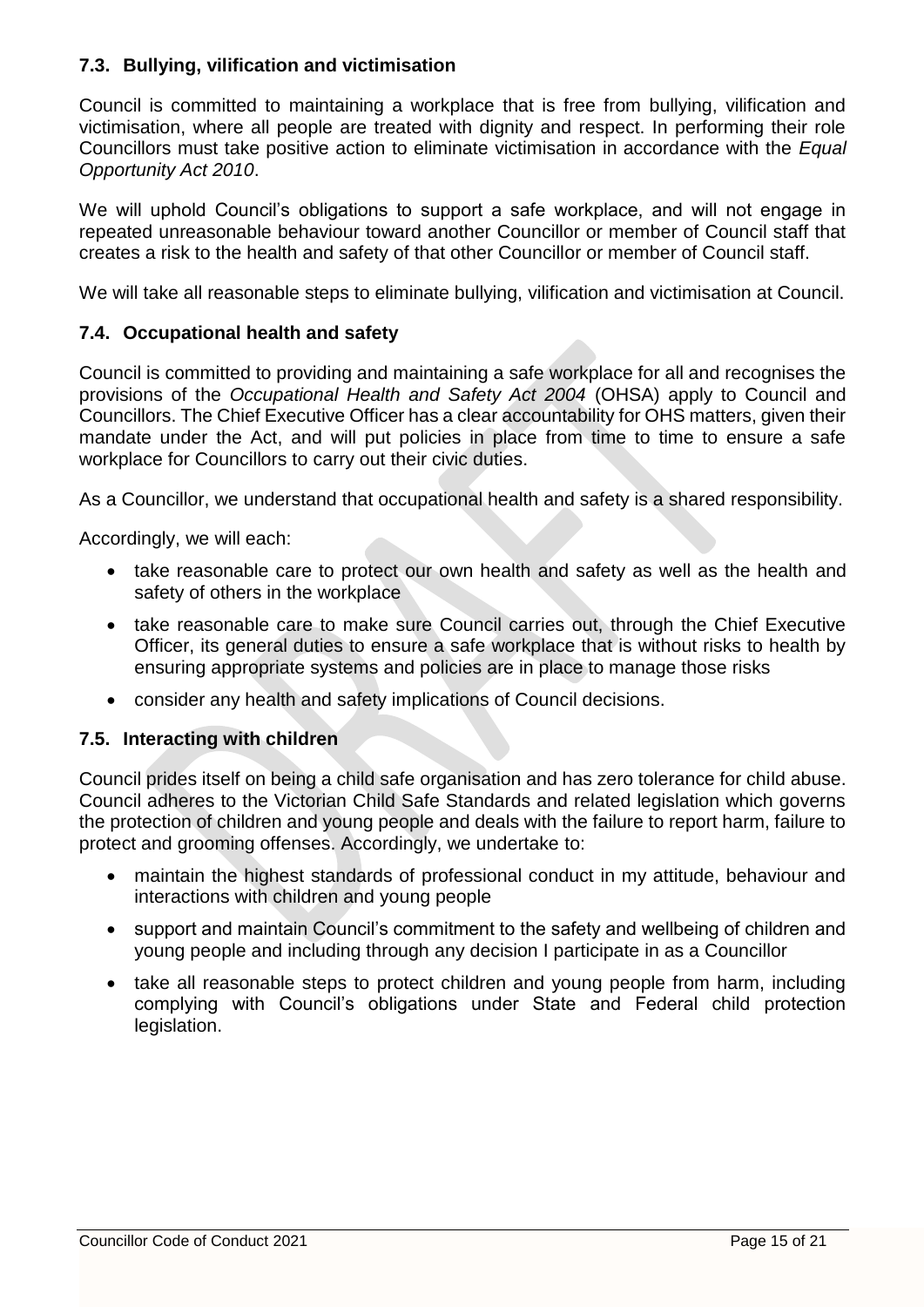#### **7.3. Bullying, vilification and victimisation**

Council is committed to maintaining a workplace that is free from bullying, vilification and victimisation, where all people are treated with dignity and respect. In performing their role Councillors must take positive action to eliminate victimisation in accordance with the *Equal Opportunity Act 2010*.

We will uphold Council's obligations to support a safe workplace, and will not engage in repeated unreasonable behaviour toward another Councillor or member of Council staff that creates a risk to the health and safety of that other Councillor or member of Council staff.

We will take all reasonable steps to eliminate bullying, vilification and victimisation at Council.

#### **7.4. Occupational health and safety**

Council is committed to providing and maintaining a safe workplace for all and recognises the provisions of the *Occupational Health and Safety Act 2004* (OHSA) apply to Council and Councillors. The Chief Executive Officer has a clear accountability for OHS matters, given their mandate under the Act, and will put policies in place from time to time to ensure a safe workplace for Councillors to carry out their civic duties.

As a Councillor, we understand that occupational health and safety is a shared responsibility.

Accordingly, we will each:

- take reasonable care to protect our own health and safety as well as the health and safety of others in the workplace
- take reasonable care to make sure Council carries out, through the Chief Executive Officer, its general duties to ensure a safe workplace that is without risks to health by ensuring appropriate systems and policies are in place to manage those risks
- consider any health and safety implications of Council decisions.

#### **7.5. Interacting with children**

Council prides itself on being a child safe organisation and has zero tolerance for child abuse. Council adheres to the Victorian Child Safe Standards and related legislation which governs the protection of children and young people and deals with the failure to report harm, failure to protect and grooming offenses. Accordingly, we undertake to:

- maintain the highest standards of professional conduct in my attitude, behaviour and interactions with children and young people
- support and maintain Council's commitment to the safety and wellbeing of children and young people and including through any decision I participate in as a Councillor
- take all reasonable steps to protect children and young people from harm, including complying with Council's obligations under State and Federal child protection legislation.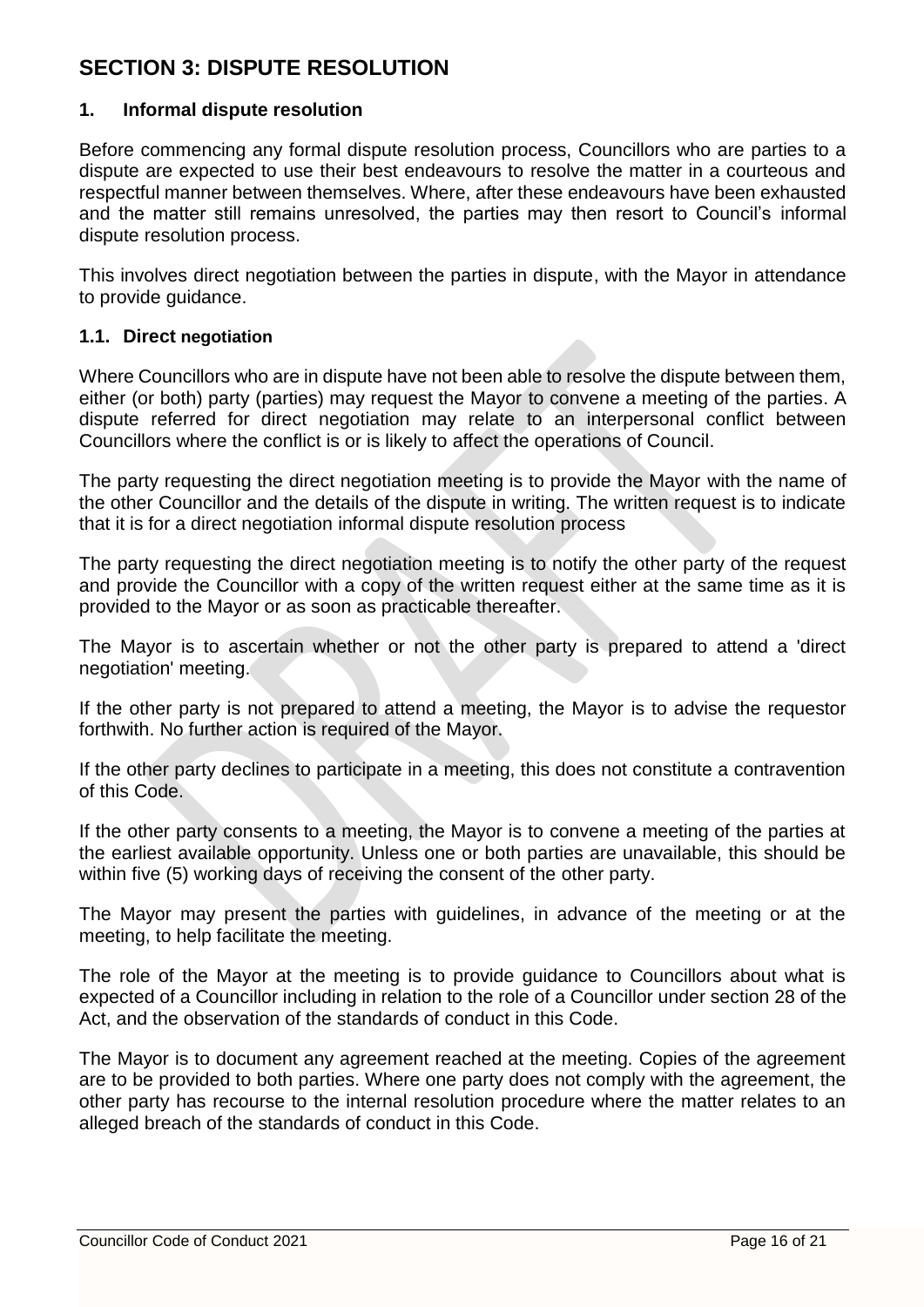# **SECTION 3: DISPUTE RESOLUTION**

#### **1. Informal dispute resolution**

Before commencing any formal dispute resolution process, Councillors who are parties to a dispute are expected to use their best endeavours to resolve the matter in a courteous and respectful manner between themselves. Where, after these endeavours have been exhausted and the matter still remains unresolved, the parties may then resort to Council's informal dispute resolution process.

This involves direct negotiation between the parties in dispute, with the Mayor in attendance to provide guidance.

#### **1.1. Direct negotiation**

Where Councillors who are in dispute have not been able to resolve the dispute between them, either (or both) party (parties) may request the Mayor to convene a meeting of the parties. A dispute referred for direct negotiation may relate to an interpersonal conflict between Councillors where the conflict is or is likely to affect the operations of Council.

The party requesting the direct negotiation meeting is to provide the Mayor with the name of the other Councillor and the details of the dispute in writing. The written request is to indicate that it is for a direct negotiation informal dispute resolution process

The party requesting the direct negotiation meeting is to notify the other party of the request and provide the Councillor with a copy of the written request either at the same time as it is provided to the Mayor or as soon as practicable thereafter.

The Mayor is to ascertain whether or not the other party is prepared to attend a 'direct negotiation' meeting.

If the other party is not prepared to attend a meeting, the Mayor is to advise the requestor forthwith. No further action is required of the Mayor.

If the other party declines to participate in a meeting, this does not constitute a contravention of this Code.

If the other party consents to a meeting, the Mayor is to convene a meeting of the parties at the earliest available opportunity. Unless one or both parties are unavailable, this should be within five (5) working days of receiving the consent of the other party.

The Mayor may present the parties with guidelines, in advance of the meeting or at the meeting, to help facilitate the meeting.

The role of the Mayor at the meeting is to provide guidance to Councillors about what is expected of a Councillor including in relation to the role of a Councillor under section 28 of the Act, and the observation of the standards of conduct in this Code.

The Mayor is to document any agreement reached at the meeting. Copies of the agreement are to be provided to both parties. Where one party does not comply with the agreement, the other party has recourse to the internal resolution procedure where the matter relates to an alleged breach of the standards of conduct in this Code.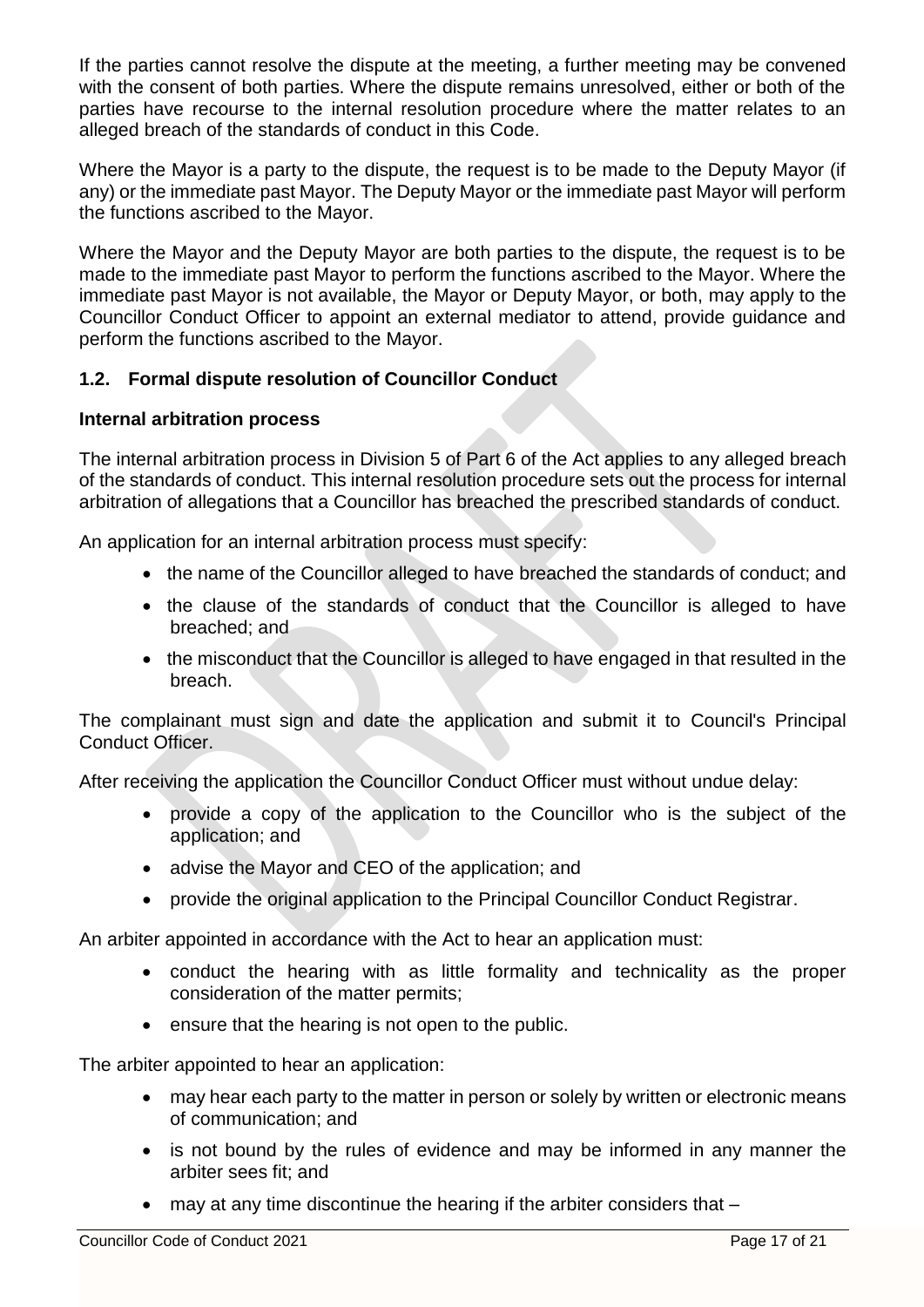If the parties cannot resolve the dispute at the meeting, a further meeting may be convened with the consent of both parties. Where the dispute remains unresolved, either or both of the parties have recourse to the internal resolution procedure where the matter relates to an alleged breach of the standards of conduct in this Code.

Where the Mayor is a party to the dispute, the request is to be made to the Deputy Mayor (if any) or the immediate past Mayor. The Deputy Mayor or the immediate past Mayor will perform the functions ascribed to the Mayor.

Where the Mayor and the Deputy Mayor are both parties to the dispute, the request is to be made to the immediate past Mayor to perform the functions ascribed to the Mayor. Where the immediate past Mayor is not available, the Mayor or Deputy Mayor, or both, may apply to the Councillor Conduct Officer to appoint an external mediator to attend, provide guidance and perform the functions ascribed to the Mayor.

#### **1.2. Formal dispute resolution of Councillor Conduct**

#### **Internal arbitration process**

The internal arbitration process in Division 5 of Part 6 of the Act applies to any alleged breach of the standards of conduct. This internal resolution procedure sets out the process for internal arbitration of allegations that a Councillor has breached the prescribed standards of conduct.

An application for an internal arbitration process must specify:

- the name of the Councillor alleged to have breached the standards of conduct; and
- the clause of the standards of conduct that the Councillor is alleged to have breached; and
- the misconduct that the Councillor is alleged to have engaged in that resulted in the breach.

The complainant must sign and date the application and submit it to Council's Principal Conduct Officer.

After receiving the application the Councillor Conduct Officer must without undue delay:

- provide a copy of the application to the Councillor who is the subject of the application; and
- advise the Mayor and CEO of the application; and
- provide the original application to the Principal Councillor Conduct Registrar.

An arbiter appointed in accordance with the Act to hear an application must:

- conduct the hearing with as little formality and technicality as the proper consideration of the matter permits;
- ensure that the hearing is not open to the public.

The arbiter appointed to hear an application:

- may hear each party to the matter in person or solely by written or electronic means of communication; and
- is not bound by the rules of evidence and may be informed in any manner the arbiter sees fit; and
- may at any time discontinue the hearing if the arbiter considers that –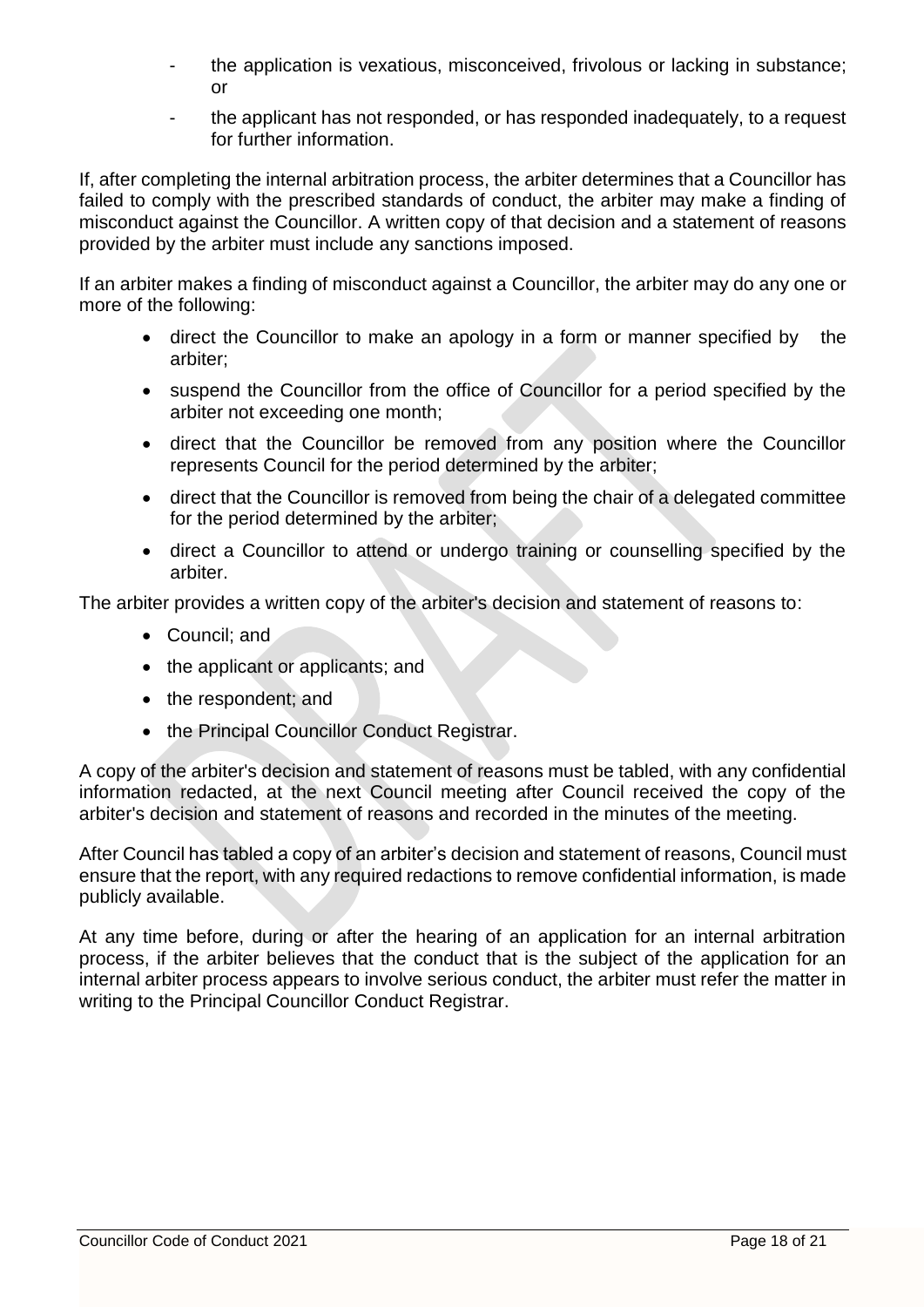- the application is vexatious, misconceived, frivolous or lacking in substance; or
- the applicant has not responded, or has responded inadequately, to a request for further information.

If, after completing the internal arbitration process, the arbiter determines that a Councillor has failed to comply with the prescribed standards of conduct, the arbiter may make a finding of misconduct against the Councillor. A written copy of that decision and a statement of reasons provided by the arbiter must include any sanctions imposed.

If an arbiter makes a finding of misconduct against a Councillor, the arbiter may do any one or more of the following:

- direct the Councillor to make an apology in a form or manner specified by the arbiter;
- suspend the Councillor from the office of Councillor for a period specified by the arbiter not exceeding one month;
- direct that the Councillor be removed from any position where the Councillor represents Council for the period determined by the arbiter;
- direct that the Councillor is removed from being the chair of a delegated committee for the period determined by the arbiter;
- direct a Councillor to attend or undergo training or counselling specified by the arbiter.

The arbiter provides a written copy of the arbiter's decision and statement of reasons to:

- Council; and
- the applicant or applicants; and
- the respondent; and
- the Principal Councillor Conduct Registrar.

A copy of the arbiter's decision and statement of reasons must be tabled, with any confidential information redacted, at the next Council meeting after Council received the copy of the arbiter's decision and statement of reasons and recorded in the minutes of the meeting.

After Council has tabled a copy of an arbiter's decision and statement of reasons, Council must ensure that the report, with any required redactions to remove confidential information, is made publicly available.

At any time before, during or after the hearing of an application for an internal arbitration process, if the arbiter believes that the conduct that is the subject of the application for an internal arbiter process appears to involve serious conduct, the arbiter must refer the matter in writing to the Principal Councillor Conduct Registrar.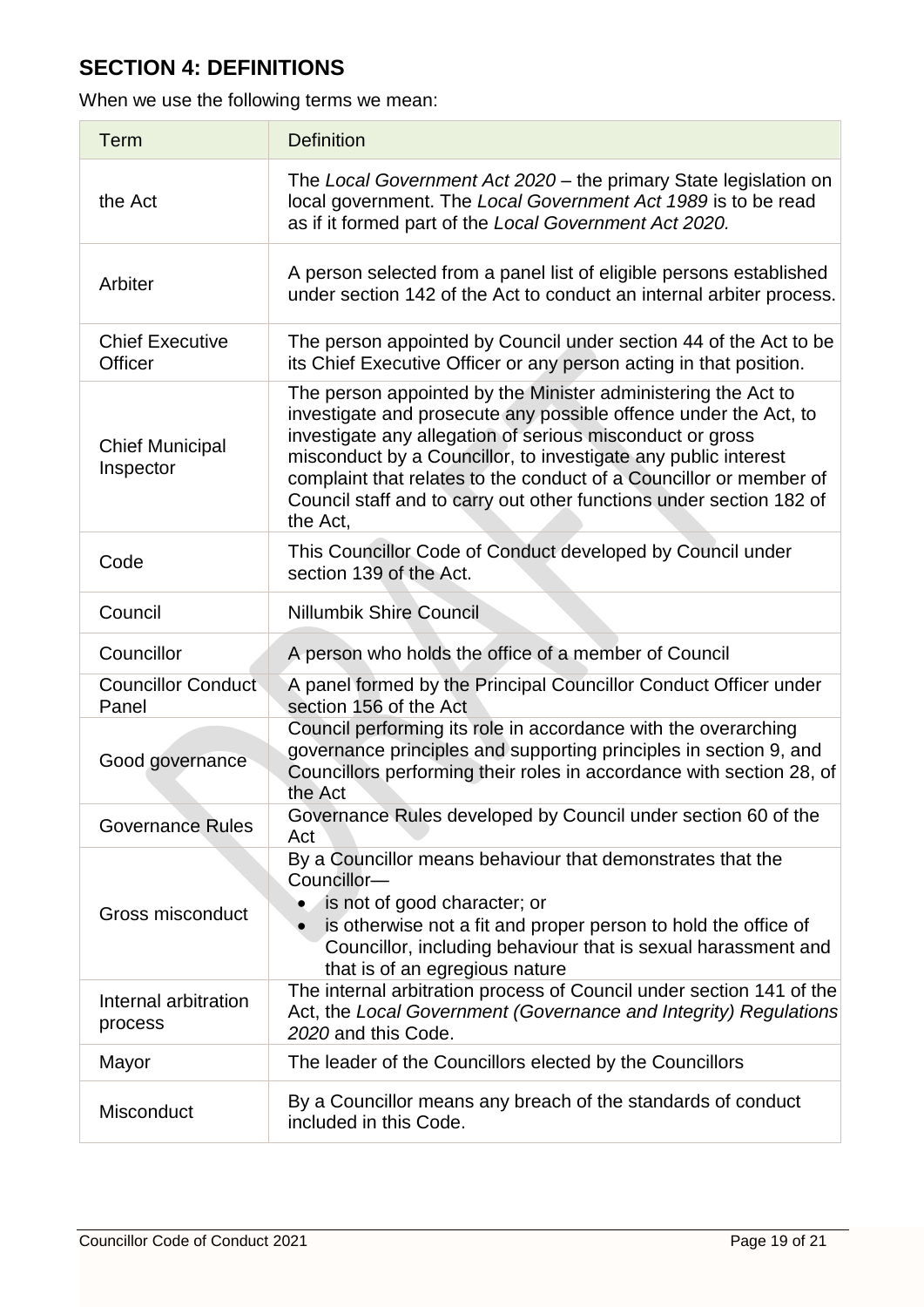# **SECTION 4: DEFINITIONS**

When we use the following terms we mean:

| <b>Term</b>                         | <b>Definition</b>                                                                                                                                                                                                                                                                                                                                                                                                         |
|-------------------------------------|---------------------------------------------------------------------------------------------------------------------------------------------------------------------------------------------------------------------------------------------------------------------------------------------------------------------------------------------------------------------------------------------------------------------------|
| the Act                             | The Local Government Act 2020 - the primary State legislation on<br>local government. The Local Government Act 1989 is to be read<br>as if it formed part of the Local Government Act 2020.                                                                                                                                                                                                                               |
| Arbiter                             | A person selected from a panel list of eligible persons established<br>under section 142 of the Act to conduct an internal arbiter process.                                                                                                                                                                                                                                                                               |
| <b>Chief Executive</b><br>Officer   | The person appointed by Council under section 44 of the Act to be<br>its Chief Executive Officer or any person acting in that position.                                                                                                                                                                                                                                                                                   |
| <b>Chief Municipal</b><br>Inspector | The person appointed by the Minister administering the Act to<br>investigate and prosecute any possible offence under the Act, to<br>investigate any allegation of serious misconduct or gross<br>misconduct by a Councillor, to investigate any public interest<br>complaint that relates to the conduct of a Councillor or member of<br>Council staff and to carry out other functions under section 182 of<br>the Act, |
| Code                                | This Councillor Code of Conduct developed by Council under<br>section 139 of the Act.                                                                                                                                                                                                                                                                                                                                     |
| Council                             | <b>Nillumbik Shire Council</b>                                                                                                                                                                                                                                                                                                                                                                                            |
| Councillor                          | A person who holds the office of a member of Council                                                                                                                                                                                                                                                                                                                                                                      |
| <b>Councillor Conduct</b><br>Panel  | A panel formed by the Principal Councillor Conduct Officer under<br>section 156 of the Act                                                                                                                                                                                                                                                                                                                                |
| Good governance                     | Council performing its role in accordance with the overarching<br>governance principles and supporting principles in section 9, and<br>Councillors performing their roles in accordance with section 28, of<br>the Act                                                                                                                                                                                                    |
| <b>Governance Rules</b>             | Governance Rules developed by Council under section 60 of the<br>Act                                                                                                                                                                                                                                                                                                                                                      |
| Gross misconduct                    | By a Councillor means behaviour that demonstrates that the<br>Councillor-<br>is not of good character; or<br>is otherwise not a fit and proper person to hold the office of<br>Councillor, including behaviour that is sexual harassment and<br>that is of an egregious nature                                                                                                                                            |
| Internal arbitration<br>process     | The internal arbitration process of Council under section 141 of the<br>Act, the Local Government (Governance and Integrity) Regulations<br>2020 and this Code.                                                                                                                                                                                                                                                           |
| Mayor                               | The leader of the Councillors elected by the Councillors                                                                                                                                                                                                                                                                                                                                                                  |
| Misconduct                          | By a Councillor means any breach of the standards of conduct<br>included in this Code.                                                                                                                                                                                                                                                                                                                                    |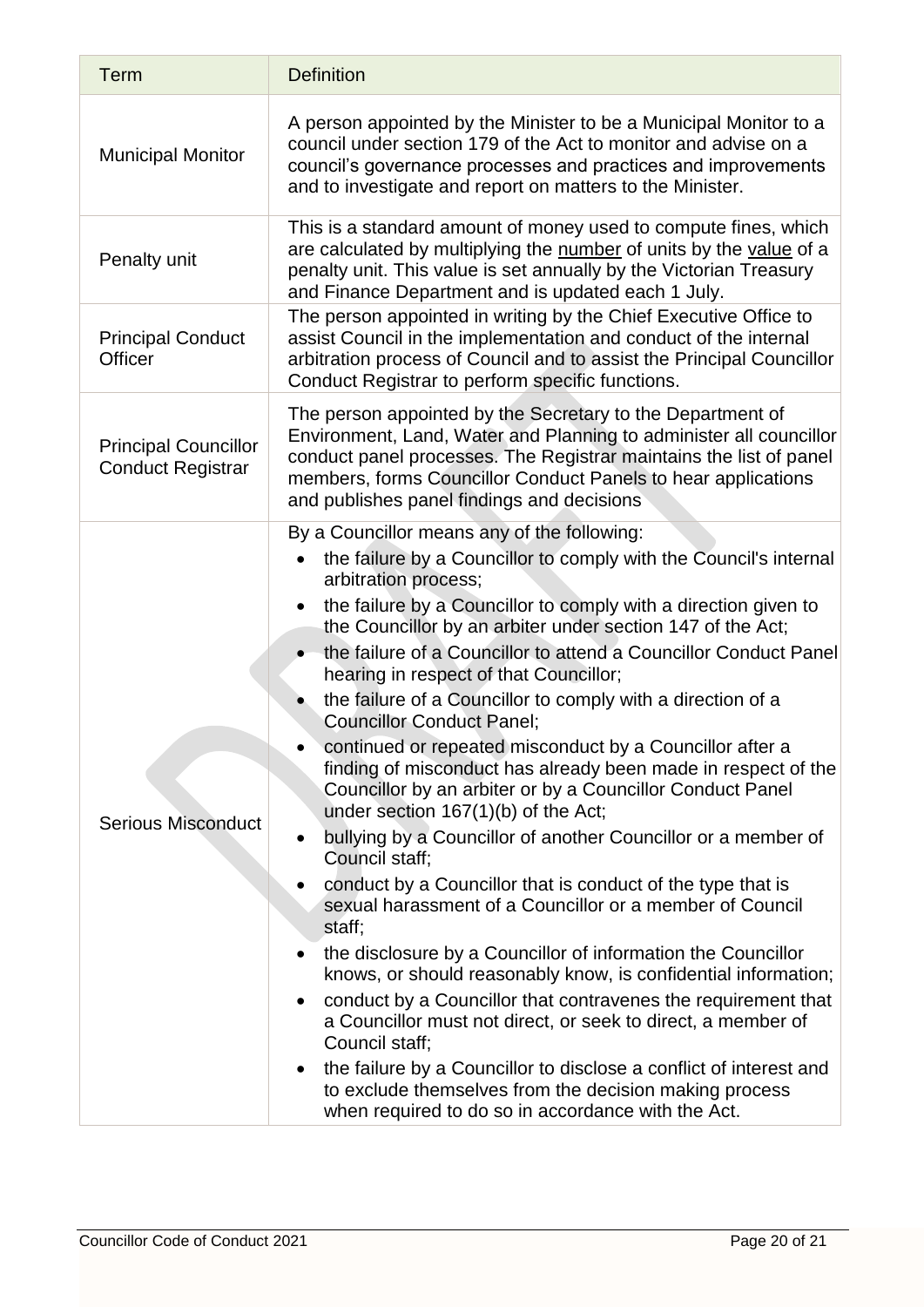| <b>Term</b>                                             | <b>Definition</b>                                                                                                                                                                                                                                                                                                                                                                                                                                                                                                                                                                                                                                                                                                                                                                                                                                                                                                                                                                                                                                                                                                                                                                                                                                                                                                                                                                                                                                             |
|---------------------------------------------------------|---------------------------------------------------------------------------------------------------------------------------------------------------------------------------------------------------------------------------------------------------------------------------------------------------------------------------------------------------------------------------------------------------------------------------------------------------------------------------------------------------------------------------------------------------------------------------------------------------------------------------------------------------------------------------------------------------------------------------------------------------------------------------------------------------------------------------------------------------------------------------------------------------------------------------------------------------------------------------------------------------------------------------------------------------------------------------------------------------------------------------------------------------------------------------------------------------------------------------------------------------------------------------------------------------------------------------------------------------------------------------------------------------------------------------------------------------------------|
| <b>Municipal Monitor</b>                                | A person appointed by the Minister to be a Municipal Monitor to a<br>council under section 179 of the Act to monitor and advise on a<br>council's governance processes and practices and improvements<br>and to investigate and report on matters to the Minister.                                                                                                                                                                                                                                                                                                                                                                                                                                                                                                                                                                                                                                                                                                                                                                                                                                                                                                                                                                                                                                                                                                                                                                                            |
| Penalty unit                                            | This is a standard amount of money used to compute fines, which<br>are calculated by multiplying the number of units by the value of a<br>penalty unit. This value is set annually by the Victorian Treasury<br>and Finance Department and is updated each 1 July.                                                                                                                                                                                                                                                                                                                                                                                                                                                                                                                                                                                                                                                                                                                                                                                                                                                                                                                                                                                                                                                                                                                                                                                            |
| <b>Principal Conduct</b><br><b>Officer</b>              | The person appointed in writing by the Chief Executive Office to<br>assist Council in the implementation and conduct of the internal<br>arbitration process of Council and to assist the Principal Councillor<br>Conduct Registrar to perform specific functions.                                                                                                                                                                                                                                                                                                                                                                                                                                                                                                                                                                                                                                                                                                                                                                                                                                                                                                                                                                                                                                                                                                                                                                                             |
| <b>Principal Councillor</b><br><b>Conduct Registrar</b> | The person appointed by the Secretary to the Department of<br>Environment, Land, Water and Planning to administer all councillor<br>conduct panel processes. The Registrar maintains the list of panel<br>members, forms Councillor Conduct Panels to hear applications<br>and publishes panel findings and decisions                                                                                                                                                                                                                                                                                                                                                                                                                                                                                                                                                                                                                                                                                                                                                                                                                                                                                                                                                                                                                                                                                                                                         |
| <b>Serious Misconduct</b>                               | By a Councillor means any of the following:<br>the failure by a Councillor to comply with the Council's internal<br>arbitration process;<br>the failure by a Councillor to comply with a direction given to<br>the Councillor by an arbiter under section 147 of the Act;<br>the failure of a Councillor to attend a Councillor Conduct Panel<br>hearing in respect of that Councillor;<br>the failure of a Councillor to comply with a direction of a<br><b>Councillor Conduct Panel;</b><br>continued or repeated misconduct by a Councillor after a<br>finding of misconduct has already been made in respect of the<br>Councillor by an arbiter or by a Councillor Conduct Panel<br>under section 167(1)(b) of the Act;<br>bullying by a Councillor of another Councillor or a member of<br>٠<br>Council staff:<br>conduct by a Councillor that is conduct of the type that is<br>sexual harassment of a Councillor or a member of Council<br>staff;<br>the disclosure by a Councillor of information the Councillor<br>knows, or should reasonably know, is confidential information;<br>conduct by a Councillor that contravenes the requirement that<br>$\bullet$<br>a Councillor must not direct, or seek to direct, a member of<br>Council staff;<br>the failure by a Councillor to disclose a conflict of interest and<br>$\bullet$<br>to exclude themselves from the decision making process<br>when required to do so in accordance with the Act. |